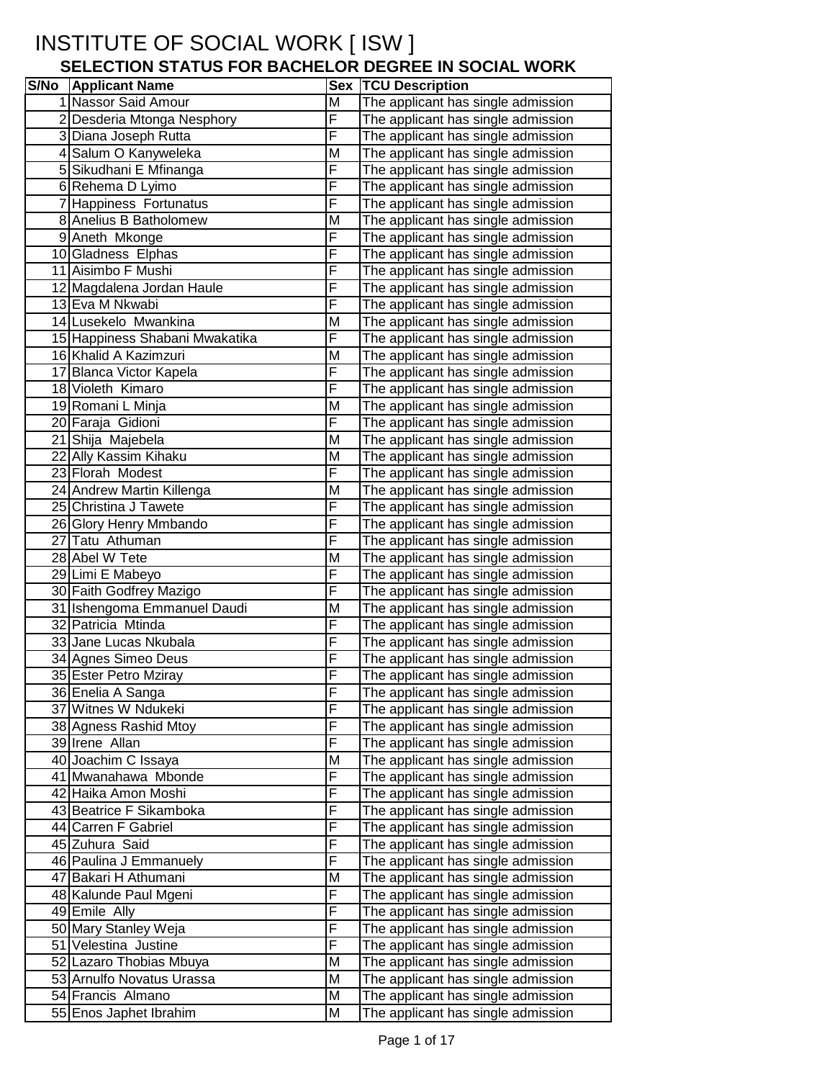# INSTITUTE OF SOCIAL WORK [ ISW ]

### **SELECTION STATUS FOR BACHELOR DEGREE IN SOCIAL WORK**

| <b>S/No</b> Applicant Name                           | <b>Sex</b>          | <b>TCU Description</b>                                                   |
|------------------------------------------------------|---------------------|--------------------------------------------------------------------------|
| 1 Nassor Said Amour                                  | M                   | The applicant has single admission                                       |
| 2 Desderia Mtonga Nesphory                           | F                   | The applicant has single admission                                       |
| 3 Diana Joseph Rutta                                 | F                   | The applicant has single admission                                       |
| 4 Salum O Kanyweleka                                 | M                   | The applicant has single admission                                       |
| 5 Sikudhani E Mfinanga                               | F                   | The applicant has single admission                                       |
| 6 Rehema D Lyimo                                     | F                   | The applicant has single admission                                       |
| 7 Happiness Fortunatus                               | F                   | The applicant has single admission                                       |
| 8 Anelius B Batholomew                               | M                   | The applicant has single admission                                       |
| 9 Aneth Mkonge                                       | F                   | The applicant has single admission                                       |
| 10 Gladness Elphas                                   | F                   | The applicant has single admission                                       |
| 11 Aisimbo F Mushi                                   | F                   | The applicant has single admission                                       |
| 12 Magdalena Jordan Haule                            | F                   | The applicant has single admission                                       |
| 13 Eva M Nkwabi                                      | F                   | The applicant has single admission                                       |
| 14 Lusekelo Mwankina                                 | M                   | The applicant has single admission                                       |
| 15 Happiness Shabani Mwakatika                       | F                   | The applicant has single admission                                       |
| 16 Khalid A Kazimzuri                                | M                   | The applicant has single admission                                       |
| 17 Blanca Victor Kapela                              | F                   | The applicant has single admission                                       |
| 18 Violeth Kimaro                                    | F                   | The applicant has single admission                                       |
| 19 Romani L Minja                                    | M                   | The applicant has single admission                                       |
| 20 Faraja Gidioni                                    | F                   | The applicant has single admission                                       |
| 21 Shija Majebela                                    | M                   | The applicant has single admission                                       |
| 22 Ally Kassim Kihaku                                | M                   | The applicant has single admission                                       |
| 23 Florah Modest                                     | F                   | The applicant has single admission                                       |
| 24 Andrew Martin Killenga                            | M                   | The applicant has single admission                                       |
| 25 Christina J Tawete                                | $\overline{F}$      | The applicant has single admission                                       |
| 26 Glory Henry Mmbando                               | $\overline{F}$      | The applicant has single admission                                       |
| 27 Tatu Athuman                                      | $\overline{F}$      | The applicant has single admission                                       |
| 28 Abel W Tete                                       | M                   | The applicant has single admission                                       |
| 29 Limi E Mabeyo                                     | F                   | The applicant has single admission                                       |
| 30 Faith Godfrey Mazigo                              | F                   | The applicant has single admission                                       |
| 31 Ishengoma Emmanuel Daudi                          | M                   | The applicant has single admission                                       |
| 32 Patricia Mtinda                                   | F                   | The applicant has single admission                                       |
| 33 Jane Lucas Nkubala                                | F                   | The applicant has single admission                                       |
| 34 Agnes Simeo Deus                                  | F                   | The applicant has single admission                                       |
| 35 Ester Petro Mziray                                | F                   | The applicant has single admission                                       |
| 36 Enelia A Sanga                                    | ۲                   | The applicant has single admission                                       |
| 37 Witnes W Ndukeki                                  | F                   | The applicant has single admission                                       |
| 38 Agness Rashid Mtoy                                | F                   | The applicant has single admission                                       |
| 39 Irene Allan                                       | F                   | The applicant has single admission                                       |
| 40 Joachim C Issaya                                  | M                   | The applicant has single admission                                       |
| 41 Mwanahawa Mbonde                                  | F                   | The applicant has single admission                                       |
| 42 Haika Amon Moshi                                  | F                   | The applicant has single admission                                       |
| 43 Beatrice F Sikamboka                              | F<br>$\overline{F}$ | The applicant has single admission                                       |
| 44 Carren F Gabriel                                  | F                   | The applicant has single admission                                       |
| 45 Zuhura Said                                       | F                   | The applicant has single admission                                       |
| 46 Paulina J Emmanuely                               |                     | The applicant has single admission                                       |
| 47 Bakari H Athumani                                 | M<br>F              | The applicant has single admission                                       |
| 48 Kalunde Paul Mgeni<br>49 Emile Ally               | F                   | The applicant has single admission                                       |
|                                                      | F                   | The applicant has single admission                                       |
| 50 Mary Stanley Weja                                 | F                   | The applicant has single admission                                       |
| 51 Velestina Justine                                 | M                   | The applicant has single admission                                       |
| 52 Lazaro Thobias Mbuya<br>53 Arnulfo Novatus Urassa | M                   | The applicant has single admission<br>The applicant has single admission |
| 54 Francis Almano                                    | M                   | The applicant has single admission                                       |
| 55 Enos Japhet Ibrahim                               | M                   | The applicant has single admission                                       |
|                                                      |                     |                                                                          |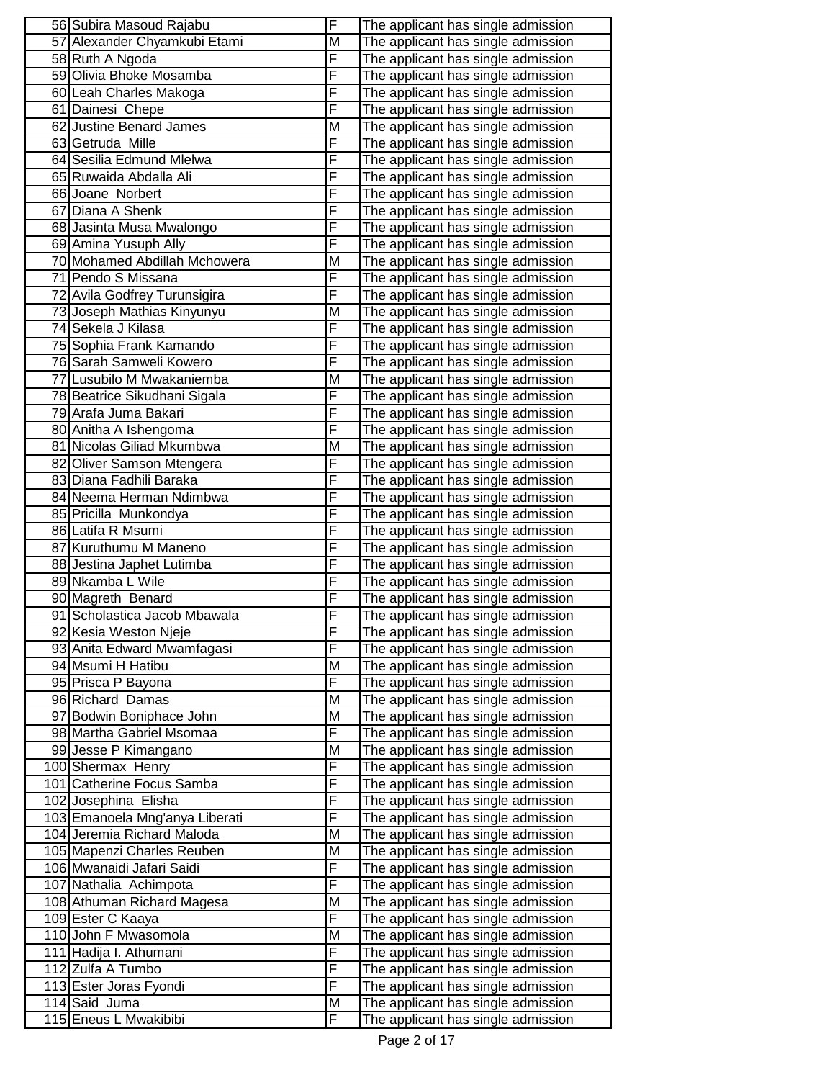| 56 Subira Masoud Rajabu                                      | F      | The applicant has single admission                                       |
|--------------------------------------------------------------|--------|--------------------------------------------------------------------------|
| 57 Alexander Chyamkubi Etami                                 | M      | The applicant has single admission                                       |
| 58 Ruth A Ngoda                                              | F      | The applicant has single admission                                       |
| 59 Olivia Bhoke Mosamba                                      | F      | The applicant has single admission                                       |
| 60 Leah Charles Makoga                                       | F      | The applicant has single admission                                       |
| 61 Dainesi Chepe                                             | F      | The applicant has single admission                                       |
| 62 Justine Benard James                                      | М      | The applicant has single admission                                       |
| 63 Getruda Mille                                             | F      | The applicant has single admission                                       |
| 64 Sesilia Edmund Mlelwa                                     | F      | The applicant has single admission                                       |
| 65 Ruwaida Abdalla Ali                                       | F      | The applicant has single admission                                       |
| 66 Joane Norbert                                             | F      | The applicant has single admission                                       |
| 67 Diana A Shenk                                             | F      | The applicant has single admission                                       |
| 68 Jasinta Musa Mwalongo                                     | F      | The applicant has single admission                                       |
| 69 Amina Yusuph Ally                                         | F      | The applicant has single admission                                       |
| 70 Mohamed Abdillah Mchowera                                 | M      | The applicant has single admission                                       |
| 71 Pendo S Missana                                           | F      | The applicant has single admission                                       |
| 72 Avila Godfrey Turunsigira                                 | F      | The applicant has single admission                                       |
| 73 Joseph Mathias Kinyunyu                                   | M      | The applicant has single admission                                       |
| 74 Sekela J Kilasa                                           | F      | The applicant has single admission                                       |
| 75 Sophia Frank Kamando                                      | F      | The applicant has single admission                                       |
| 76 Sarah Samweli Kowero                                      | F      | The applicant has single admission                                       |
| 77 Lusubilo M Mwakaniemba                                    | M      | The applicant has single admission                                       |
| 78 Beatrice Sikudhani Sigala                                 | F      | The applicant has single admission                                       |
| 79 Arafa Juma Bakari                                         | F      | The applicant has single admission                                       |
| 80 Anitha A Ishengoma                                        | F      | The applicant has single admission                                       |
| 81 Nicolas Giliad Mkumbwa                                    | M      | The applicant has single admission                                       |
| 82 Oliver Samson Mtengera                                    | F      | The applicant has single admission                                       |
| 83 Diana Fadhili Baraka                                      | F      | The applicant has single admission                                       |
| 84 Neema Herman Ndimbwa                                      | F      | The applicant has single admission                                       |
| 85 Pricilla Munkondya                                        | F      | The applicant has single admission                                       |
| 86 Latifa R Msumi                                            | F      | The applicant has single admission                                       |
| 87 Kuruthumu M Maneno                                        | F      | The applicant has single admission                                       |
| 88 Jestina Japhet Lutimba                                    | F      | The applicant has single admission                                       |
| 89 Nkamba L Wile                                             | F      | The applicant has single admission                                       |
| 90 Magreth Benard                                            | F      | The applicant has single admission                                       |
| 91 Scholastica Jacob Mbawala                                 | F      | The applicant has single admission                                       |
| 92 Kesia Weston Njeje                                        | ۲      | The applicant has single admission                                       |
| 93 Anita Edward Mwamfagasi                                   | F      | The applicant has single admission                                       |
| 94 Msumi H Hatibu                                            | M      | The applicant has single admission                                       |
| 95 Prisca P Bayona                                           | F      | The applicant has single admission                                       |
| 96 Richard Damas                                             | M      | The applicant has single admission                                       |
| 97 Bodwin Boniphace John                                     | М      | The applicant has single admission                                       |
| 98 Martha Gabriel Msomaa                                     | F      | The applicant has single admission                                       |
| 99 Jesse P Kimangano                                         | М<br>F | The applicant has single admission                                       |
| 100 Shermax Henry                                            |        | The applicant has single admission                                       |
| 101 Catherine Focus Samba                                    | F      | The applicant has single admission                                       |
| 102 Josephina Elisha                                         | F<br>F | The applicant has single admission                                       |
| 103 Emanoela Mng'anya Liberati<br>104 Jeremia Richard Maloda | Μ      | The applicant has single admission                                       |
| 105 Mapenzi Charles Reuben                                   | M      | The applicant has single admission<br>The applicant has single admission |
| 106 Mwanaidi Jafari Saidi                                    | F      | The applicant has single admission                                       |
| 107 Nathalia Achimpota                                       | F      | The applicant has single admission                                       |
| 108 Athuman Richard Magesa                                   | M      | The applicant has single admission                                       |
| 109 Ester C Kaaya                                            | F      | The applicant has single admission                                       |
| 110 John F Mwasomola                                         | М      | The applicant has single admission                                       |
| 111 Hadija I. Athumani                                       | F      | The applicant has single admission                                       |
| 112 Zulfa A Tumbo                                            | F      | The applicant has single admission                                       |
| 113 Ester Joras Fyondi                                       | F      | The applicant has single admission                                       |
| 114 Said Juma                                                | м      | The applicant has single admission                                       |
| 115 Eneus L Mwakibibi                                        | F      | The applicant has single admission                                       |
|                                                              |        |                                                                          |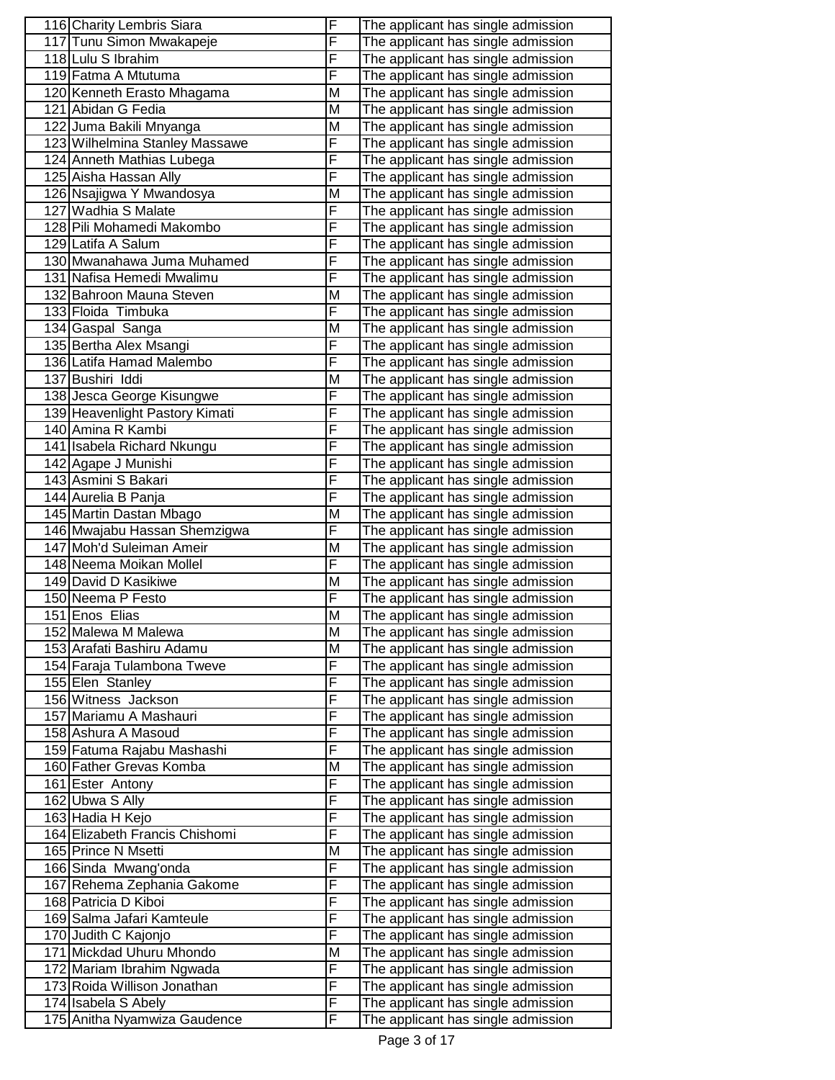| 116 Charity Lembris Siara                    | F | The applicant has single admission                                       |
|----------------------------------------------|---|--------------------------------------------------------------------------|
| 117 Tunu Simon Mwakapeje                     | F | The applicant has single admission                                       |
| 118 Lulu S Ibrahim                           | F | The applicant has single admission                                       |
| 119 Fatma A Mtutuma                          | F | The applicant has single admission                                       |
| 120 Kenneth Erasto Mhagama                   | M | The applicant has single admission                                       |
| 121 Abidan G Fedia                           | M | The applicant has single admission                                       |
| 122 Juma Bakili Mnyanga                      | M | The applicant has single admission                                       |
| 123 Wilhelmina Stanley Massawe               | F | The applicant has single admission                                       |
| 124 Anneth Mathias Lubega                    | F | The applicant has single admission                                       |
| 125 Aisha Hassan Ally                        | F | The applicant has single admission                                       |
| 126 Nsajigwa Y Mwandosya                     | M | The applicant has single admission                                       |
| 127 Wadhia S Malate                          | F | The applicant has single admission                                       |
| 128 Pili Mohamedi Makombo                    | F | The applicant has single admission                                       |
| 129 Latifa A Salum                           | F | The applicant has single admission                                       |
| 130 Mwanahawa Juma Muhamed                   | F | The applicant has single admission                                       |
| 131 Nafisa Hemedi Mwalimu                    | F | The applicant has single admission                                       |
| 132 Bahroon Mauna Steven                     | M | The applicant has single admission                                       |
| 133 Floida Timbuka                           | F |                                                                          |
| 134 Gaspal Sanga                             | M | The applicant has single admission                                       |
|                                              | F | The applicant has single admission<br>The applicant has single admission |
| 135 Bertha Alex Msangi                       | F |                                                                          |
| 136 Latifa Hamad Malembo<br>137 Bushiri Iddi | M | The applicant has single admission                                       |
|                                              |   | The applicant has single admission                                       |
| 138 Jesca George Kisungwe                    | F | The applicant has single admission                                       |
| 139 Heavenlight Pastory Kimati               | F | The applicant has single admission                                       |
| 140 Amina R Kambi                            | F | The applicant has single admission                                       |
| 141 Isabela Richard Nkungu                   | F | The applicant has single admission                                       |
| 142 Agape J Munishi                          | F | The applicant has single admission                                       |
| 143 Asmini S Bakari                          | F | The applicant has single admission                                       |
| 144 Aurelia B Panja                          | F | The applicant has single admission                                       |
| 145 Martin Dastan Mbago                      | M | The applicant has single admission                                       |
| 146 Mwajabu Hassan Shemzigwa                 | F | The applicant has single admission                                       |
| 147 Moh'd Suleiman Ameir                     | M | The applicant has single admission                                       |
| 148 Neema Moikan Mollel                      | F | The applicant has single admission                                       |
| 149 David D Kasikiwe                         | M | The applicant has single admission                                       |
| 150 Neema P Festo                            | F | The applicant has single admission                                       |
| 151 Enos Elias                               | М | The applicant has single admission                                       |
| 152 Malewa M Malewa                          | M | The applicant has single admission                                       |
| 153 Arafati Bashiru Adamu                    | M | The applicant has single admission                                       |
| 154 Faraja Tulambona Tweve                   | F | The applicant has single admission                                       |
| 155 Elen Stanley                             | F | The applicant has single admission                                       |
| 156 Witness Jackson                          | F | The applicant has single admission                                       |
| 157 Mariamu A Mashauri                       | F | The applicant has single admission                                       |
| 158 Ashura A Masoud                          | F | The applicant has single admission                                       |
| 159 Fatuma Rajabu Mashashi                   | F | The applicant has single admission                                       |
| 160 Father Grevas Komba                      | M | The applicant has single admission                                       |
| 161 Ester Antony                             | F | The applicant has single admission                                       |
| 162 Ubwa S Ally                              | F | The applicant has single admission                                       |
| 163 Hadia H Kejo                             | F | The applicant has single admission                                       |
| 164 Elizabeth Francis Chishomi               | F | The applicant has single admission                                       |
| 165 Prince N Msetti                          | M | The applicant has single admission                                       |
| 166 Sinda Mwang'onda                         | F | The applicant has single admission                                       |
| 167 Rehema Zephania Gakome                   | F | The applicant has single admission                                       |
| 168 Patricia D Kiboi                         | F | The applicant has single admission                                       |
| 169 Salma Jafari Kamteule                    | F | The applicant has single admission                                       |
| 170 Judith C Kajonjo                         | F | The applicant has single admission                                       |
| 171 Mickdad Uhuru Mhondo                     | М | The applicant has single admission                                       |
| 172 Mariam Ibrahim Ngwada                    | F | The applicant has single admission                                       |
| 173 Roida Willison Jonathan                  | F | The applicant has single admission                                       |
| 174 Isabela S Abely                          | F | The applicant has single admission                                       |
| 175 Anitha Nyamwiza Gaudence                 | F | The applicant has single admission                                       |
|                                              |   |                                                                          |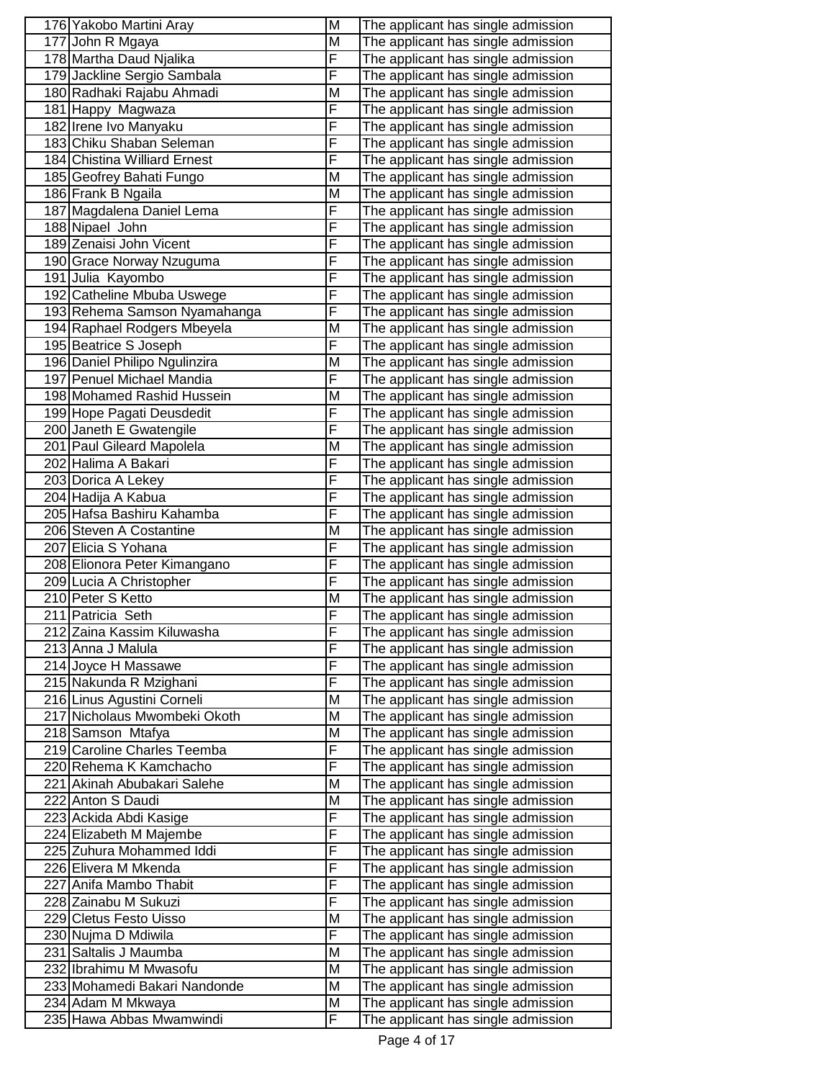| 177 John R Mgaya<br>M<br>The applicant has single admission<br>F<br>178 Martha Daud Njalika<br>The applicant has single admission<br>F<br>179 Jackline Sergio Sambala<br>The applicant has single admission<br>180 Radhaki Rajabu Ahmadi<br>The applicant has single admission<br>М<br>181 Happy Magwaza<br>F<br>The applicant has single admission<br>F<br>182 Irene Ivo Manyaku<br>The applicant has single admission<br>F<br>183 Chiku Shaban Seleman<br>The applicant has single admission<br>184 Chistina Williard Ernest<br>F<br>The applicant has single admission<br>185 Geofrey Bahati Fungo<br>М<br>The applicant has single admission<br>186 Frank B Ngaila<br>М<br>The applicant has single admission<br>F<br>187 Magdalena Daniel Lema<br>The applicant has single admission<br>F<br>188 Nipael John<br>The applicant has single admission<br>F<br>189 Zenaisi John Vicent<br>The applicant has single admission<br>F<br>190 Grace Norway Nzuguma<br>The applicant has single admission<br>F<br>191 Julia Kayombo<br>The applicant has single admission<br>F<br>192 Catheline Mbuba Uswege<br>The applicant has single admission<br>F<br>193 Rehema Samson Nyamahanga<br>The applicant has single admission<br>194 Raphael Rodgers Mbeyela<br>M<br>The applicant has single admission<br>F<br>195 Beatrice S Joseph<br>The applicant has single admission<br>196 Daniel Philipo Ngulinzira<br>M<br>The applicant has single admission<br>F<br>197 Penuel Michael Mandia<br>The applicant has single admission<br>198 Mohamed Rashid Hussein<br>M<br>The applicant has single admission<br>F<br>199 Hope Pagati Deusdedit<br>The applicant has single admission<br>F<br>200 Janeth E Gwatengile<br>The applicant has single admission<br>M<br>201 Paul Gileard Mapolela<br>The applicant has single admission<br>F<br>202 Halima A Bakari<br>The applicant has single admission<br>F<br>203 Dorica A Lekey<br>The applicant has single admission<br>F<br>204 Hadija A Kabua<br>The applicant has single admission<br>F<br>205 Hafsa Bashiru Kahamba<br>The applicant has single admission<br>206 Steven A Costantine<br>M<br>The applicant has single admission<br>F<br>207 Elicia S Yohana<br>The applicant has single admission<br>F<br>208 Elionora Peter Kimangano<br>The applicant has single admission<br>F<br>209 Lucia A Christopher<br>The applicant has single admission<br>210 Peter S Ketto<br>M<br>The applicant has single admission<br>F<br>211 Patricia Seth<br>The applicant has single admission<br>212 Zaina Kassim Kiluwasha<br>The applicant has single admission<br>۲<br>F<br>213 Anna J Malula<br>The applicant has single admission<br>F<br>214 Joyce H Massawe<br>The applicant has single admission<br>F<br>215 Nakunda R Mzighani<br>The applicant has single admission<br>216 Linus Agustini Corneli<br>M<br>The applicant has single admission<br>217 Nicholaus Mwombeki Okoth<br>Μ<br>The applicant has single admission<br>218 Samson Mtafya<br>Μ<br>The applicant has single admission<br>F<br>219 Caroline Charles Teemba<br>The applicant has single admission<br>F<br>220 Rehema K Kamchacho<br>The applicant has single admission<br>221 Akinah Abubakari Salehe<br>M<br>The applicant has single admission<br>222 Anton S Daudi<br>Μ<br>The applicant has single admission<br>F<br>223 Ackida Abdi Kasige<br>The applicant has single admission<br>F<br>224 Elizabeth M Majembe<br>The applicant has single admission<br>F<br>225 Zuhura Mohammed Iddi<br>The applicant has single admission<br>F<br>226 Elivera M Mkenda<br>The applicant has single admission<br>F<br>227 Anifa Mambo Thabit<br>The applicant has single admission<br>F<br>228 Zainabu M Sukuzi<br>The applicant has single admission<br>229 Cletus Festo Uisso<br>M<br>The applicant has single admission<br>F<br>230 Nujma D Mdiwila<br>The applicant has single admission<br>231 Saltalis J Maumba<br>Μ<br>The applicant has single admission<br>232 Ibrahimu M Mwasofu<br>M<br>The applicant has single admission<br>233 Mohamedi Bakari Nandonde<br>M<br>The applicant has single admission<br>234 Adam M Mkwaya<br>Μ<br>The applicant has single admission<br>F<br>235 Hawa Abbas Mwamwindi<br>The applicant has single admission | 176 Yakobo Martini Aray | M | The applicant has single admission |
|------------------------------------------------------------------------------------------------------------------------------------------------------------------------------------------------------------------------------------------------------------------------------------------------------------------------------------------------------------------------------------------------------------------------------------------------------------------------------------------------------------------------------------------------------------------------------------------------------------------------------------------------------------------------------------------------------------------------------------------------------------------------------------------------------------------------------------------------------------------------------------------------------------------------------------------------------------------------------------------------------------------------------------------------------------------------------------------------------------------------------------------------------------------------------------------------------------------------------------------------------------------------------------------------------------------------------------------------------------------------------------------------------------------------------------------------------------------------------------------------------------------------------------------------------------------------------------------------------------------------------------------------------------------------------------------------------------------------------------------------------------------------------------------------------------------------------------------------------------------------------------------------------------------------------------------------------------------------------------------------------------------------------------------------------------------------------------------------------------------------------------------------------------------------------------------------------------------------------------------------------------------------------------------------------------------------------------------------------------------------------------------------------------------------------------------------------------------------------------------------------------------------------------------------------------------------------------------------------------------------------------------------------------------------------------------------------------------------------------------------------------------------------------------------------------------------------------------------------------------------------------------------------------------------------------------------------------------------------------------------------------------------------------------------------------------------------------------------------------------------------------------------------------------------------------------------------------------------------------------------------------------------------------------------------------------------------------------------------------------------------------------------------------------------------------------------------------------------------------------------------------------------------------------------------------------------------------------------------------------------------------------------------------------------------------------------------------------------------------------------------------------------------------------------------------------------------------------------------------------------------------------------------------------------------------------------------------------------------------------------------------------------------------------------------------------------------------------------------------------------------------------------------------------------------------------------------------------------------------------------------------|-------------------------|---|------------------------------------|
|                                                                                                                                                                                                                                                                                                                                                                                                                                                                                                                                                                                                                                                                                                                                                                                                                                                                                                                                                                                                                                                                                                                                                                                                                                                                                                                                                                                                                                                                                                                                                                                                                                                                                                                                                                                                                                                                                                                                                                                                                                                                                                                                                                                                                                                                                                                                                                                                                                                                                                                                                                                                                                                                                                                                                                                                                                                                                                                                                                                                                                                                                                                                                                                                                                                                                                                                                                                                                                                                                                                                                                                                                                                                                                                                                                                                                                                                                                                                                                                                                                                                                                                                                                                                                                                            |                         |   |                                    |
|                                                                                                                                                                                                                                                                                                                                                                                                                                                                                                                                                                                                                                                                                                                                                                                                                                                                                                                                                                                                                                                                                                                                                                                                                                                                                                                                                                                                                                                                                                                                                                                                                                                                                                                                                                                                                                                                                                                                                                                                                                                                                                                                                                                                                                                                                                                                                                                                                                                                                                                                                                                                                                                                                                                                                                                                                                                                                                                                                                                                                                                                                                                                                                                                                                                                                                                                                                                                                                                                                                                                                                                                                                                                                                                                                                                                                                                                                                                                                                                                                                                                                                                                                                                                                                                            |                         |   |                                    |
|                                                                                                                                                                                                                                                                                                                                                                                                                                                                                                                                                                                                                                                                                                                                                                                                                                                                                                                                                                                                                                                                                                                                                                                                                                                                                                                                                                                                                                                                                                                                                                                                                                                                                                                                                                                                                                                                                                                                                                                                                                                                                                                                                                                                                                                                                                                                                                                                                                                                                                                                                                                                                                                                                                                                                                                                                                                                                                                                                                                                                                                                                                                                                                                                                                                                                                                                                                                                                                                                                                                                                                                                                                                                                                                                                                                                                                                                                                                                                                                                                                                                                                                                                                                                                                                            |                         |   |                                    |
|                                                                                                                                                                                                                                                                                                                                                                                                                                                                                                                                                                                                                                                                                                                                                                                                                                                                                                                                                                                                                                                                                                                                                                                                                                                                                                                                                                                                                                                                                                                                                                                                                                                                                                                                                                                                                                                                                                                                                                                                                                                                                                                                                                                                                                                                                                                                                                                                                                                                                                                                                                                                                                                                                                                                                                                                                                                                                                                                                                                                                                                                                                                                                                                                                                                                                                                                                                                                                                                                                                                                                                                                                                                                                                                                                                                                                                                                                                                                                                                                                                                                                                                                                                                                                                                            |                         |   |                                    |
|                                                                                                                                                                                                                                                                                                                                                                                                                                                                                                                                                                                                                                                                                                                                                                                                                                                                                                                                                                                                                                                                                                                                                                                                                                                                                                                                                                                                                                                                                                                                                                                                                                                                                                                                                                                                                                                                                                                                                                                                                                                                                                                                                                                                                                                                                                                                                                                                                                                                                                                                                                                                                                                                                                                                                                                                                                                                                                                                                                                                                                                                                                                                                                                                                                                                                                                                                                                                                                                                                                                                                                                                                                                                                                                                                                                                                                                                                                                                                                                                                                                                                                                                                                                                                                                            |                         |   |                                    |
|                                                                                                                                                                                                                                                                                                                                                                                                                                                                                                                                                                                                                                                                                                                                                                                                                                                                                                                                                                                                                                                                                                                                                                                                                                                                                                                                                                                                                                                                                                                                                                                                                                                                                                                                                                                                                                                                                                                                                                                                                                                                                                                                                                                                                                                                                                                                                                                                                                                                                                                                                                                                                                                                                                                                                                                                                                                                                                                                                                                                                                                                                                                                                                                                                                                                                                                                                                                                                                                                                                                                                                                                                                                                                                                                                                                                                                                                                                                                                                                                                                                                                                                                                                                                                                                            |                         |   |                                    |
|                                                                                                                                                                                                                                                                                                                                                                                                                                                                                                                                                                                                                                                                                                                                                                                                                                                                                                                                                                                                                                                                                                                                                                                                                                                                                                                                                                                                                                                                                                                                                                                                                                                                                                                                                                                                                                                                                                                                                                                                                                                                                                                                                                                                                                                                                                                                                                                                                                                                                                                                                                                                                                                                                                                                                                                                                                                                                                                                                                                                                                                                                                                                                                                                                                                                                                                                                                                                                                                                                                                                                                                                                                                                                                                                                                                                                                                                                                                                                                                                                                                                                                                                                                                                                                                            |                         |   |                                    |
|                                                                                                                                                                                                                                                                                                                                                                                                                                                                                                                                                                                                                                                                                                                                                                                                                                                                                                                                                                                                                                                                                                                                                                                                                                                                                                                                                                                                                                                                                                                                                                                                                                                                                                                                                                                                                                                                                                                                                                                                                                                                                                                                                                                                                                                                                                                                                                                                                                                                                                                                                                                                                                                                                                                                                                                                                                                                                                                                                                                                                                                                                                                                                                                                                                                                                                                                                                                                                                                                                                                                                                                                                                                                                                                                                                                                                                                                                                                                                                                                                                                                                                                                                                                                                                                            |                         |   |                                    |
|                                                                                                                                                                                                                                                                                                                                                                                                                                                                                                                                                                                                                                                                                                                                                                                                                                                                                                                                                                                                                                                                                                                                                                                                                                                                                                                                                                                                                                                                                                                                                                                                                                                                                                                                                                                                                                                                                                                                                                                                                                                                                                                                                                                                                                                                                                                                                                                                                                                                                                                                                                                                                                                                                                                                                                                                                                                                                                                                                                                                                                                                                                                                                                                                                                                                                                                                                                                                                                                                                                                                                                                                                                                                                                                                                                                                                                                                                                                                                                                                                                                                                                                                                                                                                                                            |                         |   |                                    |
|                                                                                                                                                                                                                                                                                                                                                                                                                                                                                                                                                                                                                                                                                                                                                                                                                                                                                                                                                                                                                                                                                                                                                                                                                                                                                                                                                                                                                                                                                                                                                                                                                                                                                                                                                                                                                                                                                                                                                                                                                                                                                                                                                                                                                                                                                                                                                                                                                                                                                                                                                                                                                                                                                                                                                                                                                                                                                                                                                                                                                                                                                                                                                                                                                                                                                                                                                                                                                                                                                                                                                                                                                                                                                                                                                                                                                                                                                                                                                                                                                                                                                                                                                                                                                                                            |                         |   |                                    |
|                                                                                                                                                                                                                                                                                                                                                                                                                                                                                                                                                                                                                                                                                                                                                                                                                                                                                                                                                                                                                                                                                                                                                                                                                                                                                                                                                                                                                                                                                                                                                                                                                                                                                                                                                                                                                                                                                                                                                                                                                                                                                                                                                                                                                                                                                                                                                                                                                                                                                                                                                                                                                                                                                                                                                                                                                                                                                                                                                                                                                                                                                                                                                                                                                                                                                                                                                                                                                                                                                                                                                                                                                                                                                                                                                                                                                                                                                                                                                                                                                                                                                                                                                                                                                                                            |                         |   |                                    |
|                                                                                                                                                                                                                                                                                                                                                                                                                                                                                                                                                                                                                                                                                                                                                                                                                                                                                                                                                                                                                                                                                                                                                                                                                                                                                                                                                                                                                                                                                                                                                                                                                                                                                                                                                                                                                                                                                                                                                                                                                                                                                                                                                                                                                                                                                                                                                                                                                                                                                                                                                                                                                                                                                                                                                                                                                                                                                                                                                                                                                                                                                                                                                                                                                                                                                                                                                                                                                                                                                                                                                                                                                                                                                                                                                                                                                                                                                                                                                                                                                                                                                                                                                                                                                                                            |                         |   |                                    |
|                                                                                                                                                                                                                                                                                                                                                                                                                                                                                                                                                                                                                                                                                                                                                                                                                                                                                                                                                                                                                                                                                                                                                                                                                                                                                                                                                                                                                                                                                                                                                                                                                                                                                                                                                                                                                                                                                                                                                                                                                                                                                                                                                                                                                                                                                                                                                                                                                                                                                                                                                                                                                                                                                                                                                                                                                                                                                                                                                                                                                                                                                                                                                                                                                                                                                                                                                                                                                                                                                                                                                                                                                                                                                                                                                                                                                                                                                                                                                                                                                                                                                                                                                                                                                                                            |                         |   |                                    |
|                                                                                                                                                                                                                                                                                                                                                                                                                                                                                                                                                                                                                                                                                                                                                                                                                                                                                                                                                                                                                                                                                                                                                                                                                                                                                                                                                                                                                                                                                                                                                                                                                                                                                                                                                                                                                                                                                                                                                                                                                                                                                                                                                                                                                                                                                                                                                                                                                                                                                                                                                                                                                                                                                                                                                                                                                                                                                                                                                                                                                                                                                                                                                                                                                                                                                                                                                                                                                                                                                                                                                                                                                                                                                                                                                                                                                                                                                                                                                                                                                                                                                                                                                                                                                                                            |                         |   |                                    |
|                                                                                                                                                                                                                                                                                                                                                                                                                                                                                                                                                                                                                                                                                                                                                                                                                                                                                                                                                                                                                                                                                                                                                                                                                                                                                                                                                                                                                                                                                                                                                                                                                                                                                                                                                                                                                                                                                                                                                                                                                                                                                                                                                                                                                                                                                                                                                                                                                                                                                                                                                                                                                                                                                                                                                                                                                                                                                                                                                                                                                                                                                                                                                                                                                                                                                                                                                                                                                                                                                                                                                                                                                                                                                                                                                                                                                                                                                                                                                                                                                                                                                                                                                                                                                                                            |                         |   |                                    |
|                                                                                                                                                                                                                                                                                                                                                                                                                                                                                                                                                                                                                                                                                                                                                                                                                                                                                                                                                                                                                                                                                                                                                                                                                                                                                                                                                                                                                                                                                                                                                                                                                                                                                                                                                                                                                                                                                                                                                                                                                                                                                                                                                                                                                                                                                                                                                                                                                                                                                                                                                                                                                                                                                                                                                                                                                                                                                                                                                                                                                                                                                                                                                                                                                                                                                                                                                                                                                                                                                                                                                                                                                                                                                                                                                                                                                                                                                                                                                                                                                                                                                                                                                                                                                                                            |                         |   |                                    |
|                                                                                                                                                                                                                                                                                                                                                                                                                                                                                                                                                                                                                                                                                                                                                                                                                                                                                                                                                                                                                                                                                                                                                                                                                                                                                                                                                                                                                                                                                                                                                                                                                                                                                                                                                                                                                                                                                                                                                                                                                                                                                                                                                                                                                                                                                                                                                                                                                                                                                                                                                                                                                                                                                                                                                                                                                                                                                                                                                                                                                                                                                                                                                                                                                                                                                                                                                                                                                                                                                                                                                                                                                                                                                                                                                                                                                                                                                                                                                                                                                                                                                                                                                                                                                                                            |                         |   |                                    |
|                                                                                                                                                                                                                                                                                                                                                                                                                                                                                                                                                                                                                                                                                                                                                                                                                                                                                                                                                                                                                                                                                                                                                                                                                                                                                                                                                                                                                                                                                                                                                                                                                                                                                                                                                                                                                                                                                                                                                                                                                                                                                                                                                                                                                                                                                                                                                                                                                                                                                                                                                                                                                                                                                                                                                                                                                                                                                                                                                                                                                                                                                                                                                                                                                                                                                                                                                                                                                                                                                                                                                                                                                                                                                                                                                                                                                                                                                                                                                                                                                                                                                                                                                                                                                                                            |                         |   |                                    |
|                                                                                                                                                                                                                                                                                                                                                                                                                                                                                                                                                                                                                                                                                                                                                                                                                                                                                                                                                                                                                                                                                                                                                                                                                                                                                                                                                                                                                                                                                                                                                                                                                                                                                                                                                                                                                                                                                                                                                                                                                                                                                                                                                                                                                                                                                                                                                                                                                                                                                                                                                                                                                                                                                                                                                                                                                                                                                                                                                                                                                                                                                                                                                                                                                                                                                                                                                                                                                                                                                                                                                                                                                                                                                                                                                                                                                                                                                                                                                                                                                                                                                                                                                                                                                                                            |                         |   |                                    |
|                                                                                                                                                                                                                                                                                                                                                                                                                                                                                                                                                                                                                                                                                                                                                                                                                                                                                                                                                                                                                                                                                                                                                                                                                                                                                                                                                                                                                                                                                                                                                                                                                                                                                                                                                                                                                                                                                                                                                                                                                                                                                                                                                                                                                                                                                                                                                                                                                                                                                                                                                                                                                                                                                                                                                                                                                                                                                                                                                                                                                                                                                                                                                                                                                                                                                                                                                                                                                                                                                                                                                                                                                                                                                                                                                                                                                                                                                                                                                                                                                                                                                                                                                                                                                                                            |                         |   |                                    |
|                                                                                                                                                                                                                                                                                                                                                                                                                                                                                                                                                                                                                                                                                                                                                                                                                                                                                                                                                                                                                                                                                                                                                                                                                                                                                                                                                                                                                                                                                                                                                                                                                                                                                                                                                                                                                                                                                                                                                                                                                                                                                                                                                                                                                                                                                                                                                                                                                                                                                                                                                                                                                                                                                                                                                                                                                                                                                                                                                                                                                                                                                                                                                                                                                                                                                                                                                                                                                                                                                                                                                                                                                                                                                                                                                                                                                                                                                                                                                                                                                                                                                                                                                                                                                                                            |                         |   |                                    |
|                                                                                                                                                                                                                                                                                                                                                                                                                                                                                                                                                                                                                                                                                                                                                                                                                                                                                                                                                                                                                                                                                                                                                                                                                                                                                                                                                                                                                                                                                                                                                                                                                                                                                                                                                                                                                                                                                                                                                                                                                                                                                                                                                                                                                                                                                                                                                                                                                                                                                                                                                                                                                                                                                                                                                                                                                                                                                                                                                                                                                                                                                                                                                                                                                                                                                                                                                                                                                                                                                                                                                                                                                                                                                                                                                                                                                                                                                                                                                                                                                                                                                                                                                                                                                                                            |                         |   |                                    |
|                                                                                                                                                                                                                                                                                                                                                                                                                                                                                                                                                                                                                                                                                                                                                                                                                                                                                                                                                                                                                                                                                                                                                                                                                                                                                                                                                                                                                                                                                                                                                                                                                                                                                                                                                                                                                                                                                                                                                                                                                                                                                                                                                                                                                                                                                                                                                                                                                                                                                                                                                                                                                                                                                                                                                                                                                                                                                                                                                                                                                                                                                                                                                                                                                                                                                                                                                                                                                                                                                                                                                                                                                                                                                                                                                                                                                                                                                                                                                                                                                                                                                                                                                                                                                                                            |                         |   |                                    |
|                                                                                                                                                                                                                                                                                                                                                                                                                                                                                                                                                                                                                                                                                                                                                                                                                                                                                                                                                                                                                                                                                                                                                                                                                                                                                                                                                                                                                                                                                                                                                                                                                                                                                                                                                                                                                                                                                                                                                                                                                                                                                                                                                                                                                                                                                                                                                                                                                                                                                                                                                                                                                                                                                                                                                                                                                                                                                                                                                                                                                                                                                                                                                                                                                                                                                                                                                                                                                                                                                                                                                                                                                                                                                                                                                                                                                                                                                                                                                                                                                                                                                                                                                                                                                                                            |                         |   |                                    |
|                                                                                                                                                                                                                                                                                                                                                                                                                                                                                                                                                                                                                                                                                                                                                                                                                                                                                                                                                                                                                                                                                                                                                                                                                                                                                                                                                                                                                                                                                                                                                                                                                                                                                                                                                                                                                                                                                                                                                                                                                                                                                                                                                                                                                                                                                                                                                                                                                                                                                                                                                                                                                                                                                                                                                                                                                                                                                                                                                                                                                                                                                                                                                                                                                                                                                                                                                                                                                                                                                                                                                                                                                                                                                                                                                                                                                                                                                                                                                                                                                                                                                                                                                                                                                                                            |                         |   |                                    |
|                                                                                                                                                                                                                                                                                                                                                                                                                                                                                                                                                                                                                                                                                                                                                                                                                                                                                                                                                                                                                                                                                                                                                                                                                                                                                                                                                                                                                                                                                                                                                                                                                                                                                                                                                                                                                                                                                                                                                                                                                                                                                                                                                                                                                                                                                                                                                                                                                                                                                                                                                                                                                                                                                                                                                                                                                                                                                                                                                                                                                                                                                                                                                                                                                                                                                                                                                                                                                                                                                                                                                                                                                                                                                                                                                                                                                                                                                                                                                                                                                                                                                                                                                                                                                                                            |                         |   |                                    |
|                                                                                                                                                                                                                                                                                                                                                                                                                                                                                                                                                                                                                                                                                                                                                                                                                                                                                                                                                                                                                                                                                                                                                                                                                                                                                                                                                                                                                                                                                                                                                                                                                                                                                                                                                                                                                                                                                                                                                                                                                                                                                                                                                                                                                                                                                                                                                                                                                                                                                                                                                                                                                                                                                                                                                                                                                                                                                                                                                                                                                                                                                                                                                                                                                                                                                                                                                                                                                                                                                                                                                                                                                                                                                                                                                                                                                                                                                                                                                                                                                                                                                                                                                                                                                                                            |                         |   |                                    |
|                                                                                                                                                                                                                                                                                                                                                                                                                                                                                                                                                                                                                                                                                                                                                                                                                                                                                                                                                                                                                                                                                                                                                                                                                                                                                                                                                                                                                                                                                                                                                                                                                                                                                                                                                                                                                                                                                                                                                                                                                                                                                                                                                                                                                                                                                                                                                                                                                                                                                                                                                                                                                                                                                                                                                                                                                                                                                                                                                                                                                                                                                                                                                                                                                                                                                                                                                                                                                                                                                                                                                                                                                                                                                                                                                                                                                                                                                                                                                                                                                                                                                                                                                                                                                                                            |                         |   |                                    |
|                                                                                                                                                                                                                                                                                                                                                                                                                                                                                                                                                                                                                                                                                                                                                                                                                                                                                                                                                                                                                                                                                                                                                                                                                                                                                                                                                                                                                                                                                                                                                                                                                                                                                                                                                                                                                                                                                                                                                                                                                                                                                                                                                                                                                                                                                                                                                                                                                                                                                                                                                                                                                                                                                                                                                                                                                                                                                                                                                                                                                                                                                                                                                                                                                                                                                                                                                                                                                                                                                                                                                                                                                                                                                                                                                                                                                                                                                                                                                                                                                                                                                                                                                                                                                                                            |                         |   |                                    |
|                                                                                                                                                                                                                                                                                                                                                                                                                                                                                                                                                                                                                                                                                                                                                                                                                                                                                                                                                                                                                                                                                                                                                                                                                                                                                                                                                                                                                                                                                                                                                                                                                                                                                                                                                                                                                                                                                                                                                                                                                                                                                                                                                                                                                                                                                                                                                                                                                                                                                                                                                                                                                                                                                                                                                                                                                                                                                                                                                                                                                                                                                                                                                                                                                                                                                                                                                                                                                                                                                                                                                                                                                                                                                                                                                                                                                                                                                                                                                                                                                                                                                                                                                                                                                                                            |                         |   |                                    |
|                                                                                                                                                                                                                                                                                                                                                                                                                                                                                                                                                                                                                                                                                                                                                                                                                                                                                                                                                                                                                                                                                                                                                                                                                                                                                                                                                                                                                                                                                                                                                                                                                                                                                                                                                                                                                                                                                                                                                                                                                                                                                                                                                                                                                                                                                                                                                                                                                                                                                                                                                                                                                                                                                                                                                                                                                                                                                                                                                                                                                                                                                                                                                                                                                                                                                                                                                                                                                                                                                                                                                                                                                                                                                                                                                                                                                                                                                                                                                                                                                                                                                                                                                                                                                                                            |                         |   |                                    |
|                                                                                                                                                                                                                                                                                                                                                                                                                                                                                                                                                                                                                                                                                                                                                                                                                                                                                                                                                                                                                                                                                                                                                                                                                                                                                                                                                                                                                                                                                                                                                                                                                                                                                                                                                                                                                                                                                                                                                                                                                                                                                                                                                                                                                                                                                                                                                                                                                                                                                                                                                                                                                                                                                                                                                                                                                                                                                                                                                                                                                                                                                                                                                                                                                                                                                                                                                                                                                                                                                                                                                                                                                                                                                                                                                                                                                                                                                                                                                                                                                                                                                                                                                                                                                                                            |                         |   |                                    |
|                                                                                                                                                                                                                                                                                                                                                                                                                                                                                                                                                                                                                                                                                                                                                                                                                                                                                                                                                                                                                                                                                                                                                                                                                                                                                                                                                                                                                                                                                                                                                                                                                                                                                                                                                                                                                                                                                                                                                                                                                                                                                                                                                                                                                                                                                                                                                                                                                                                                                                                                                                                                                                                                                                                                                                                                                                                                                                                                                                                                                                                                                                                                                                                                                                                                                                                                                                                                                                                                                                                                                                                                                                                                                                                                                                                                                                                                                                                                                                                                                                                                                                                                                                                                                                                            |                         |   |                                    |
|                                                                                                                                                                                                                                                                                                                                                                                                                                                                                                                                                                                                                                                                                                                                                                                                                                                                                                                                                                                                                                                                                                                                                                                                                                                                                                                                                                                                                                                                                                                                                                                                                                                                                                                                                                                                                                                                                                                                                                                                                                                                                                                                                                                                                                                                                                                                                                                                                                                                                                                                                                                                                                                                                                                                                                                                                                                                                                                                                                                                                                                                                                                                                                                                                                                                                                                                                                                                                                                                                                                                                                                                                                                                                                                                                                                                                                                                                                                                                                                                                                                                                                                                                                                                                                                            |                         |   |                                    |
|                                                                                                                                                                                                                                                                                                                                                                                                                                                                                                                                                                                                                                                                                                                                                                                                                                                                                                                                                                                                                                                                                                                                                                                                                                                                                                                                                                                                                                                                                                                                                                                                                                                                                                                                                                                                                                                                                                                                                                                                                                                                                                                                                                                                                                                                                                                                                                                                                                                                                                                                                                                                                                                                                                                                                                                                                                                                                                                                                                                                                                                                                                                                                                                                                                                                                                                                                                                                                                                                                                                                                                                                                                                                                                                                                                                                                                                                                                                                                                                                                                                                                                                                                                                                                                                            |                         |   |                                    |
|                                                                                                                                                                                                                                                                                                                                                                                                                                                                                                                                                                                                                                                                                                                                                                                                                                                                                                                                                                                                                                                                                                                                                                                                                                                                                                                                                                                                                                                                                                                                                                                                                                                                                                                                                                                                                                                                                                                                                                                                                                                                                                                                                                                                                                                                                                                                                                                                                                                                                                                                                                                                                                                                                                                                                                                                                                                                                                                                                                                                                                                                                                                                                                                                                                                                                                                                                                                                                                                                                                                                                                                                                                                                                                                                                                                                                                                                                                                                                                                                                                                                                                                                                                                                                                                            |                         |   |                                    |
|                                                                                                                                                                                                                                                                                                                                                                                                                                                                                                                                                                                                                                                                                                                                                                                                                                                                                                                                                                                                                                                                                                                                                                                                                                                                                                                                                                                                                                                                                                                                                                                                                                                                                                                                                                                                                                                                                                                                                                                                                                                                                                                                                                                                                                                                                                                                                                                                                                                                                                                                                                                                                                                                                                                                                                                                                                                                                                                                                                                                                                                                                                                                                                                                                                                                                                                                                                                                                                                                                                                                                                                                                                                                                                                                                                                                                                                                                                                                                                                                                                                                                                                                                                                                                                                            |                         |   |                                    |
|                                                                                                                                                                                                                                                                                                                                                                                                                                                                                                                                                                                                                                                                                                                                                                                                                                                                                                                                                                                                                                                                                                                                                                                                                                                                                                                                                                                                                                                                                                                                                                                                                                                                                                                                                                                                                                                                                                                                                                                                                                                                                                                                                                                                                                                                                                                                                                                                                                                                                                                                                                                                                                                                                                                                                                                                                                                                                                                                                                                                                                                                                                                                                                                                                                                                                                                                                                                                                                                                                                                                                                                                                                                                                                                                                                                                                                                                                                                                                                                                                                                                                                                                                                                                                                                            |                         |   |                                    |
|                                                                                                                                                                                                                                                                                                                                                                                                                                                                                                                                                                                                                                                                                                                                                                                                                                                                                                                                                                                                                                                                                                                                                                                                                                                                                                                                                                                                                                                                                                                                                                                                                                                                                                                                                                                                                                                                                                                                                                                                                                                                                                                                                                                                                                                                                                                                                                                                                                                                                                                                                                                                                                                                                                                                                                                                                                                                                                                                                                                                                                                                                                                                                                                                                                                                                                                                                                                                                                                                                                                                                                                                                                                                                                                                                                                                                                                                                                                                                                                                                                                                                                                                                                                                                                                            |                         |   |                                    |
|                                                                                                                                                                                                                                                                                                                                                                                                                                                                                                                                                                                                                                                                                                                                                                                                                                                                                                                                                                                                                                                                                                                                                                                                                                                                                                                                                                                                                                                                                                                                                                                                                                                                                                                                                                                                                                                                                                                                                                                                                                                                                                                                                                                                                                                                                                                                                                                                                                                                                                                                                                                                                                                                                                                                                                                                                                                                                                                                                                                                                                                                                                                                                                                                                                                                                                                                                                                                                                                                                                                                                                                                                                                                                                                                                                                                                                                                                                                                                                                                                                                                                                                                                                                                                                                            |                         |   |                                    |
|                                                                                                                                                                                                                                                                                                                                                                                                                                                                                                                                                                                                                                                                                                                                                                                                                                                                                                                                                                                                                                                                                                                                                                                                                                                                                                                                                                                                                                                                                                                                                                                                                                                                                                                                                                                                                                                                                                                                                                                                                                                                                                                                                                                                                                                                                                                                                                                                                                                                                                                                                                                                                                                                                                                                                                                                                                                                                                                                                                                                                                                                                                                                                                                                                                                                                                                                                                                                                                                                                                                                                                                                                                                                                                                                                                                                                                                                                                                                                                                                                                                                                                                                                                                                                                                            |                         |   |                                    |
|                                                                                                                                                                                                                                                                                                                                                                                                                                                                                                                                                                                                                                                                                                                                                                                                                                                                                                                                                                                                                                                                                                                                                                                                                                                                                                                                                                                                                                                                                                                                                                                                                                                                                                                                                                                                                                                                                                                                                                                                                                                                                                                                                                                                                                                                                                                                                                                                                                                                                                                                                                                                                                                                                                                                                                                                                                                                                                                                                                                                                                                                                                                                                                                                                                                                                                                                                                                                                                                                                                                                                                                                                                                                                                                                                                                                                                                                                                                                                                                                                                                                                                                                                                                                                                                            |                         |   |                                    |
|                                                                                                                                                                                                                                                                                                                                                                                                                                                                                                                                                                                                                                                                                                                                                                                                                                                                                                                                                                                                                                                                                                                                                                                                                                                                                                                                                                                                                                                                                                                                                                                                                                                                                                                                                                                                                                                                                                                                                                                                                                                                                                                                                                                                                                                                                                                                                                                                                                                                                                                                                                                                                                                                                                                                                                                                                                                                                                                                                                                                                                                                                                                                                                                                                                                                                                                                                                                                                                                                                                                                                                                                                                                                                                                                                                                                                                                                                                                                                                                                                                                                                                                                                                                                                                                            |                         |   |                                    |
|                                                                                                                                                                                                                                                                                                                                                                                                                                                                                                                                                                                                                                                                                                                                                                                                                                                                                                                                                                                                                                                                                                                                                                                                                                                                                                                                                                                                                                                                                                                                                                                                                                                                                                                                                                                                                                                                                                                                                                                                                                                                                                                                                                                                                                                                                                                                                                                                                                                                                                                                                                                                                                                                                                                                                                                                                                                                                                                                                                                                                                                                                                                                                                                                                                                                                                                                                                                                                                                                                                                                                                                                                                                                                                                                                                                                                                                                                                                                                                                                                                                                                                                                                                                                                                                            |                         |   |                                    |
|                                                                                                                                                                                                                                                                                                                                                                                                                                                                                                                                                                                                                                                                                                                                                                                                                                                                                                                                                                                                                                                                                                                                                                                                                                                                                                                                                                                                                                                                                                                                                                                                                                                                                                                                                                                                                                                                                                                                                                                                                                                                                                                                                                                                                                                                                                                                                                                                                                                                                                                                                                                                                                                                                                                                                                                                                                                                                                                                                                                                                                                                                                                                                                                                                                                                                                                                                                                                                                                                                                                                                                                                                                                                                                                                                                                                                                                                                                                                                                                                                                                                                                                                                                                                                                                            |                         |   |                                    |
|                                                                                                                                                                                                                                                                                                                                                                                                                                                                                                                                                                                                                                                                                                                                                                                                                                                                                                                                                                                                                                                                                                                                                                                                                                                                                                                                                                                                                                                                                                                                                                                                                                                                                                                                                                                                                                                                                                                                                                                                                                                                                                                                                                                                                                                                                                                                                                                                                                                                                                                                                                                                                                                                                                                                                                                                                                                                                                                                                                                                                                                                                                                                                                                                                                                                                                                                                                                                                                                                                                                                                                                                                                                                                                                                                                                                                                                                                                                                                                                                                                                                                                                                                                                                                                                            |                         |   |                                    |
|                                                                                                                                                                                                                                                                                                                                                                                                                                                                                                                                                                                                                                                                                                                                                                                                                                                                                                                                                                                                                                                                                                                                                                                                                                                                                                                                                                                                                                                                                                                                                                                                                                                                                                                                                                                                                                                                                                                                                                                                                                                                                                                                                                                                                                                                                                                                                                                                                                                                                                                                                                                                                                                                                                                                                                                                                                                                                                                                                                                                                                                                                                                                                                                                                                                                                                                                                                                                                                                                                                                                                                                                                                                                                                                                                                                                                                                                                                                                                                                                                                                                                                                                                                                                                                                            |                         |   |                                    |
|                                                                                                                                                                                                                                                                                                                                                                                                                                                                                                                                                                                                                                                                                                                                                                                                                                                                                                                                                                                                                                                                                                                                                                                                                                                                                                                                                                                                                                                                                                                                                                                                                                                                                                                                                                                                                                                                                                                                                                                                                                                                                                                                                                                                                                                                                                                                                                                                                                                                                                                                                                                                                                                                                                                                                                                                                                                                                                                                                                                                                                                                                                                                                                                                                                                                                                                                                                                                                                                                                                                                                                                                                                                                                                                                                                                                                                                                                                                                                                                                                                                                                                                                                                                                                                                            |                         |   |                                    |
|                                                                                                                                                                                                                                                                                                                                                                                                                                                                                                                                                                                                                                                                                                                                                                                                                                                                                                                                                                                                                                                                                                                                                                                                                                                                                                                                                                                                                                                                                                                                                                                                                                                                                                                                                                                                                                                                                                                                                                                                                                                                                                                                                                                                                                                                                                                                                                                                                                                                                                                                                                                                                                                                                                                                                                                                                                                                                                                                                                                                                                                                                                                                                                                                                                                                                                                                                                                                                                                                                                                                                                                                                                                                                                                                                                                                                                                                                                                                                                                                                                                                                                                                                                                                                                                            |                         |   |                                    |
|                                                                                                                                                                                                                                                                                                                                                                                                                                                                                                                                                                                                                                                                                                                                                                                                                                                                                                                                                                                                                                                                                                                                                                                                                                                                                                                                                                                                                                                                                                                                                                                                                                                                                                                                                                                                                                                                                                                                                                                                                                                                                                                                                                                                                                                                                                                                                                                                                                                                                                                                                                                                                                                                                                                                                                                                                                                                                                                                                                                                                                                                                                                                                                                                                                                                                                                                                                                                                                                                                                                                                                                                                                                                                                                                                                                                                                                                                                                                                                                                                                                                                                                                                                                                                                                            |                         |   |                                    |
|                                                                                                                                                                                                                                                                                                                                                                                                                                                                                                                                                                                                                                                                                                                                                                                                                                                                                                                                                                                                                                                                                                                                                                                                                                                                                                                                                                                                                                                                                                                                                                                                                                                                                                                                                                                                                                                                                                                                                                                                                                                                                                                                                                                                                                                                                                                                                                                                                                                                                                                                                                                                                                                                                                                                                                                                                                                                                                                                                                                                                                                                                                                                                                                                                                                                                                                                                                                                                                                                                                                                                                                                                                                                                                                                                                                                                                                                                                                                                                                                                                                                                                                                                                                                                                                            |                         |   |                                    |
|                                                                                                                                                                                                                                                                                                                                                                                                                                                                                                                                                                                                                                                                                                                                                                                                                                                                                                                                                                                                                                                                                                                                                                                                                                                                                                                                                                                                                                                                                                                                                                                                                                                                                                                                                                                                                                                                                                                                                                                                                                                                                                                                                                                                                                                                                                                                                                                                                                                                                                                                                                                                                                                                                                                                                                                                                                                                                                                                                                                                                                                                                                                                                                                                                                                                                                                                                                                                                                                                                                                                                                                                                                                                                                                                                                                                                                                                                                                                                                                                                                                                                                                                                                                                                                                            |                         |   |                                    |
|                                                                                                                                                                                                                                                                                                                                                                                                                                                                                                                                                                                                                                                                                                                                                                                                                                                                                                                                                                                                                                                                                                                                                                                                                                                                                                                                                                                                                                                                                                                                                                                                                                                                                                                                                                                                                                                                                                                                                                                                                                                                                                                                                                                                                                                                                                                                                                                                                                                                                                                                                                                                                                                                                                                                                                                                                                                                                                                                                                                                                                                                                                                                                                                                                                                                                                                                                                                                                                                                                                                                                                                                                                                                                                                                                                                                                                                                                                                                                                                                                                                                                                                                                                                                                                                            |                         |   |                                    |
|                                                                                                                                                                                                                                                                                                                                                                                                                                                                                                                                                                                                                                                                                                                                                                                                                                                                                                                                                                                                                                                                                                                                                                                                                                                                                                                                                                                                                                                                                                                                                                                                                                                                                                                                                                                                                                                                                                                                                                                                                                                                                                                                                                                                                                                                                                                                                                                                                                                                                                                                                                                                                                                                                                                                                                                                                                                                                                                                                                                                                                                                                                                                                                                                                                                                                                                                                                                                                                                                                                                                                                                                                                                                                                                                                                                                                                                                                                                                                                                                                                                                                                                                                                                                                                                            |                         |   |                                    |
|                                                                                                                                                                                                                                                                                                                                                                                                                                                                                                                                                                                                                                                                                                                                                                                                                                                                                                                                                                                                                                                                                                                                                                                                                                                                                                                                                                                                                                                                                                                                                                                                                                                                                                                                                                                                                                                                                                                                                                                                                                                                                                                                                                                                                                                                                                                                                                                                                                                                                                                                                                                                                                                                                                                                                                                                                                                                                                                                                                                                                                                                                                                                                                                                                                                                                                                                                                                                                                                                                                                                                                                                                                                                                                                                                                                                                                                                                                                                                                                                                                                                                                                                                                                                                                                            |                         |   |                                    |
|                                                                                                                                                                                                                                                                                                                                                                                                                                                                                                                                                                                                                                                                                                                                                                                                                                                                                                                                                                                                                                                                                                                                                                                                                                                                                                                                                                                                                                                                                                                                                                                                                                                                                                                                                                                                                                                                                                                                                                                                                                                                                                                                                                                                                                                                                                                                                                                                                                                                                                                                                                                                                                                                                                                                                                                                                                                                                                                                                                                                                                                                                                                                                                                                                                                                                                                                                                                                                                                                                                                                                                                                                                                                                                                                                                                                                                                                                                                                                                                                                                                                                                                                                                                                                                                            |                         |   |                                    |
|                                                                                                                                                                                                                                                                                                                                                                                                                                                                                                                                                                                                                                                                                                                                                                                                                                                                                                                                                                                                                                                                                                                                                                                                                                                                                                                                                                                                                                                                                                                                                                                                                                                                                                                                                                                                                                                                                                                                                                                                                                                                                                                                                                                                                                                                                                                                                                                                                                                                                                                                                                                                                                                                                                                                                                                                                                                                                                                                                                                                                                                                                                                                                                                                                                                                                                                                                                                                                                                                                                                                                                                                                                                                                                                                                                                                                                                                                                                                                                                                                                                                                                                                                                                                                                                            |                         |   |                                    |
|                                                                                                                                                                                                                                                                                                                                                                                                                                                                                                                                                                                                                                                                                                                                                                                                                                                                                                                                                                                                                                                                                                                                                                                                                                                                                                                                                                                                                                                                                                                                                                                                                                                                                                                                                                                                                                                                                                                                                                                                                                                                                                                                                                                                                                                                                                                                                                                                                                                                                                                                                                                                                                                                                                                                                                                                                                                                                                                                                                                                                                                                                                                                                                                                                                                                                                                                                                                                                                                                                                                                                                                                                                                                                                                                                                                                                                                                                                                                                                                                                                                                                                                                                                                                                                                            |                         |   |                                    |
|                                                                                                                                                                                                                                                                                                                                                                                                                                                                                                                                                                                                                                                                                                                                                                                                                                                                                                                                                                                                                                                                                                                                                                                                                                                                                                                                                                                                                                                                                                                                                                                                                                                                                                                                                                                                                                                                                                                                                                                                                                                                                                                                                                                                                                                                                                                                                                                                                                                                                                                                                                                                                                                                                                                                                                                                                                                                                                                                                                                                                                                                                                                                                                                                                                                                                                                                                                                                                                                                                                                                                                                                                                                                                                                                                                                                                                                                                                                                                                                                                                                                                                                                                                                                                                                            |                         |   |                                    |
|                                                                                                                                                                                                                                                                                                                                                                                                                                                                                                                                                                                                                                                                                                                                                                                                                                                                                                                                                                                                                                                                                                                                                                                                                                                                                                                                                                                                                                                                                                                                                                                                                                                                                                                                                                                                                                                                                                                                                                                                                                                                                                                                                                                                                                                                                                                                                                                                                                                                                                                                                                                                                                                                                                                                                                                                                                                                                                                                                                                                                                                                                                                                                                                                                                                                                                                                                                                                                                                                                                                                                                                                                                                                                                                                                                                                                                                                                                                                                                                                                                                                                                                                                                                                                                                            |                         |   |                                    |
|                                                                                                                                                                                                                                                                                                                                                                                                                                                                                                                                                                                                                                                                                                                                                                                                                                                                                                                                                                                                                                                                                                                                                                                                                                                                                                                                                                                                                                                                                                                                                                                                                                                                                                                                                                                                                                                                                                                                                                                                                                                                                                                                                                                                                                                                                                                                                                                                                                                                                                                                                                                                                                                                                                                                                                                                                                                                                                                                                                                                                                                                                                                                                                                                                                                                                                                                                                                                                                                                                                                                                                                                                                                                                                                                                                                                                                                                                                                                                                                                                                                                                                                                                                                                                                                            |                         |   |                                    |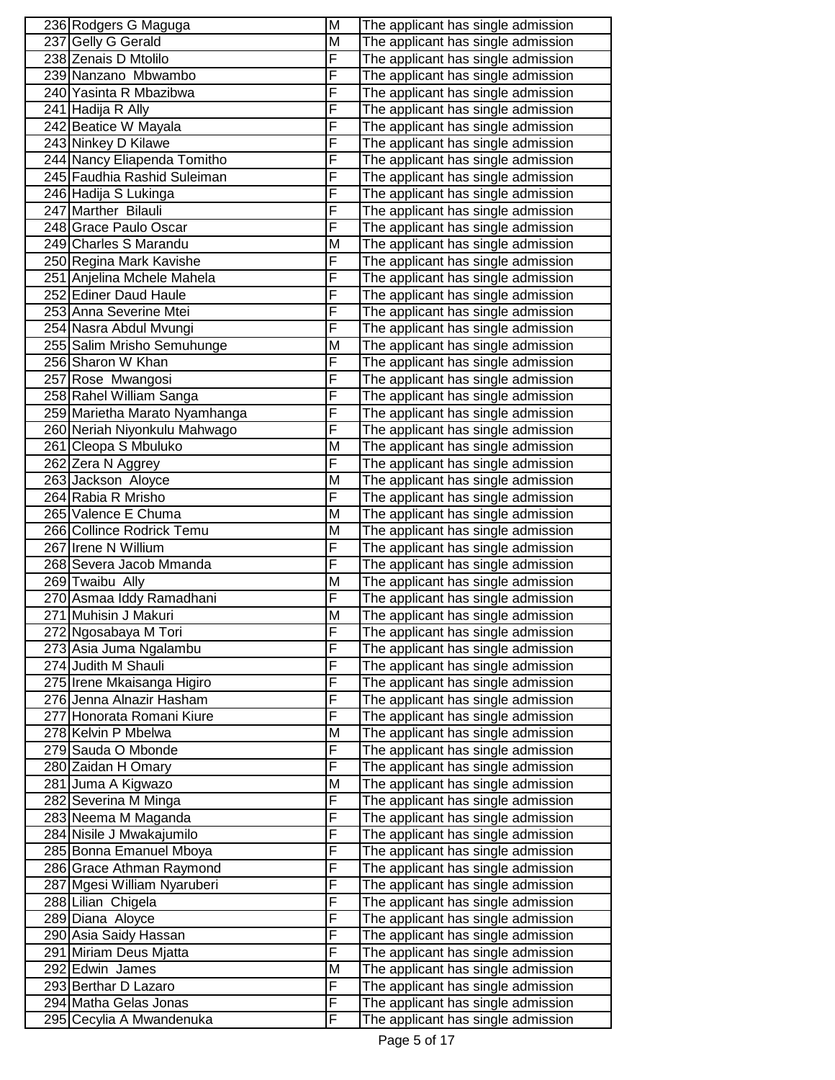| 236 Rodgers G Maguga          | M | The applicant has single admission |
|-------------------------------|---|------------------------------------|
| 237 Gelly G Gerald            | M | The applicant has single admission |
| 238 Zenais D Mtolilo          | F | The applicant has single admission |
| 239 Nanzano Mbwambo           | F | The applicant has single admission |
| 240 Yasinta R Mbazibwa        | F | The applicant has single admission |
| 241 Hadija R Ally             | F | The applicant has single admission |
| 242 Beatice W Mayala          | F | The applicant has single admission |
| 243 Ninkey D Kilawe           | F | The applicant has single admission |
| 244 Nancy Eliapenda Tomitho   | F | The applicant has single admission |
| 245 Faudhia Rashid Suleiman   | F | The applicant has single admission |
| 246 Hadija S Lukinga          | F | The applicant has single admission |
| 247 Marther Bilauli           | F | The applicant has single admission |
| 248 Grace Paulo Oscar         | F | The applicant has single admission |
| 249 Charles S Marandu         | M | The applicant has single admission |
| 250 Regina Mark Kavishe       | F | The applicant has single admission |
| 251 Anjelina Mchele Mahela    | F | The applicant has single admission |
| 252 Ediner Daud Haule         | F | The applicant has single admission |
| 253 Anna Severine Mtei        | F | The applicant has single admission |
| 254 Nasra Abdul Mvungi        | F | The applicant has single admission |
| 255 Salim Mrisho Semuhunge    | M | The applicant has single admission |
| 256 Sharon W Khan             | F | The applicant has single admission |
| 257 Rose Mwangosi             | F | The applicant has single admission |
| 258 Rahel William Sanga       | F | The applicant has single admission |
| 259 Marietha Marato Nyamhanga | F | The applicant has single admission |
| 260 Neriah Niyonkulu Mahwago  | F | The applicant has single admission |
| 261 Cleopa S Mbuluko          | M | The applicant has single admission |
| 262 Zera N Aggrey             | F | The applicant has single admission |
| 263 Jackson Aloyce            | M | The applicant has single admission |
| 264 Rabia R Mrisho            | F | The applicant has single admission |
| 265 Valence E Chuma           | M | The applicant has single admission |
| 266 Collince Rodrick Temu     | M | The applicant has single admission |
| 267 Irene N Willium           | F | The applicant has single admission |
| 268 Severa Jacob Mmanda       | F | The applicant has single admission |
| 269 Twaibu Ally               | M | The applicant has single admission |
| 270 Asmaa Iddy Ramadhani      | F | The applicant has single admission |
| 271 Muhisin J Makuri          | M | The applicant has single admission |
| 272 Ngosabaya M Tori          | ۲ | The applicant has single admission |
| 273 Asia Juma Ngalambu        | F | The applicant has single admission |
| 274 Judith M Shauli           | F | The applicant has single admission |
| 275 Irene Mkaisanga Higiro    | F | The applicant has single admission |
| 276 Jenna Alnazir Hasham      | F | The applicant has single admission |
| 277 Honorata Romani Kiure     | F | The applicant has single admission |
| 278 Kelvin P Mbelwa           | М | The applicant has single admission |
| 279 Sauda O Mbonde            | F | The applicant has single admission |
| 280 Zaidan H Omary            | F | The applicant has single admission |
| 281 Juma A Kigwazo            | M | The applicant has single admission |
| 282 Severina M Minga          | F | The applicant has single admission |
| 283 Neema M Maganda           | F | The applicant has single admission |
| 284 Nisile J Mwakajumilo      | F | The applicant has single admission |
| 285 Bonna Emanuel Mboya       | F | The applicant has single admission |
| 286 Grace Athman Raymond      | F | The applicant has single admission |
| 287 Mgesi William Nyaruberi   | F | The applicant has single admission |
| 288 Lilian Chigela            | F | The applicant has single admission |
| 289 Diana Aloyce              | F | The applicant has single admission |
| 290 Asia Saidy Hassan         | F | The applicant has single admission |
| 291 Miriam Deus Mjatta        | F | The applicant has single admission |
| 292 Edwin James               | M | The applicant has single admission |
| 293 Berthar D Lazaro          | F | The applicant has single admission |
| 294 Matha Gelas Jonas         | F | The applicant has single admission |
| 295 Cecylia A Mwandenuka      | F | The applicant has single admission |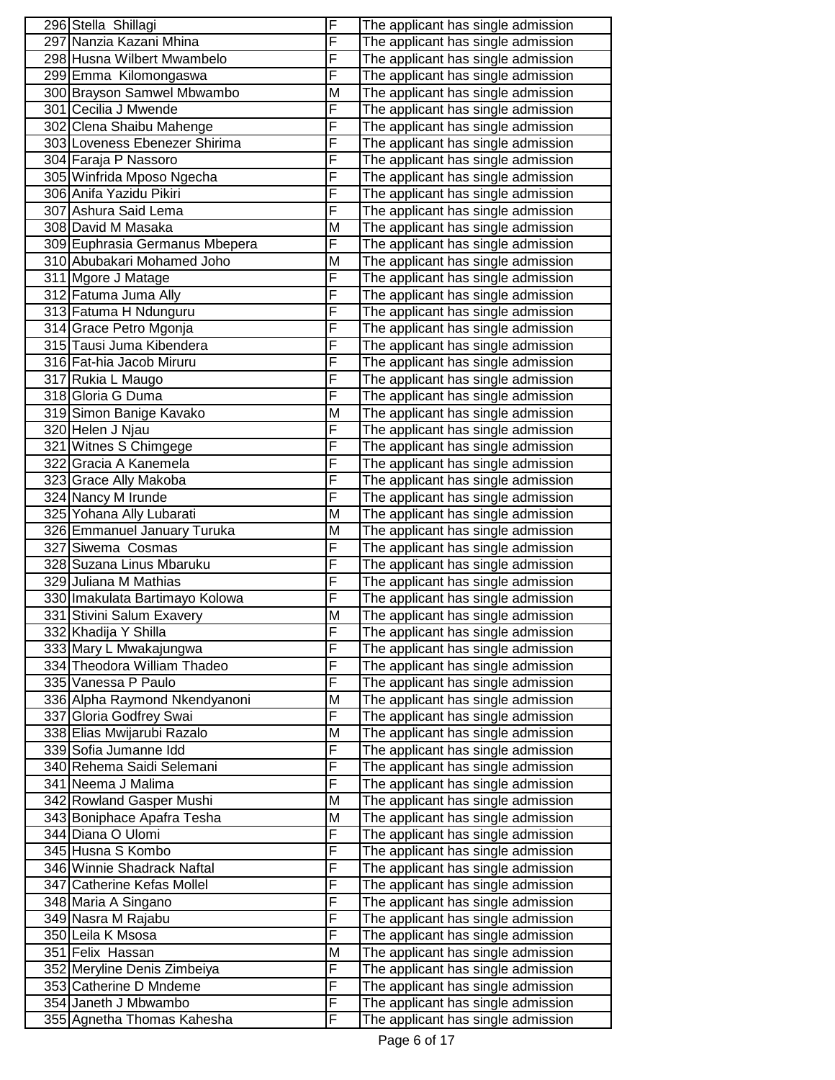| 296 Stella Shillagi                            | $\overline{F}$ | The applicant has single admission                                       |
|------------------------------------------------|----------------|--------------------------------------------------------------------------|
| 297 Nanzia Kazani Mhina                        | $\overline{F}$ | The applicant has single admission                                       |
| 298 Husna Wilbert Mwambelo                     | F              | The applicant has single admission                                       |
| 299 Emma Kilomongaswa                          | F              | The applicant has single admission                                       |
| 300 Brayson Samwel Mbwambo                     | M              | The applicant has single admission                                       |
| 301 Cecilia J Mwende                           | F              | The applicant has single admission                                       |
| 302 Clena Shaibu Mahenge                       | F              | The applicant has single admission                                       |
| 303 Loveness Ebenezer Shirima                  | F              | The applicant has single admission                                       |
| 304 Faraja P Nassoro                           | F              | The applicant has single admission                                       |
| 305 Winfrida Mposo Ngecha                      | $\overline{F}$ | The applicant has single admission                                       |
| 306 Anifa Yazidu Pikiri                        | F              | The applicant has single admission                                       |
| 307 Ashura Said Lema                           | F              | The applicant has single admission                                       |
| 308 David M Masaka                             | M              | The applicant has single admission                                       |
| 309 Euphrasia Germanus Mbepera                 | F              | The applicant has single admission                                       |
| 310 Abubakari Mohamed Joho                     | M              | The applicant has single admission                                       |
| 311 Mgore J Matage                             | F              | The applicant has single admission                                       |
| 312 Fatuma Juma Ally                           | F              | The applicant has single admission                                       |
| 313 Fatuma H Ndunguru                          | F              | The applicant has single admission                                       |
| 314 Grace Petro Mgonja                         | F              | The applicant has single admission                                       |
| 315 Tausi Juma Kibendera                       | F              | The applicant has single admission                                       |
| 316 Fat-hia Jacob Miruru                       | F              | The applicant has single admission                                       |
| 317 Rukia L Maugo                              | F              | The applicant has single admission                                       |
| 318 Gloria G Duma                              | F              | The applicant has single admission                                       |
| 319 Simon Banige Kavako                        | M              | The applicant has single admission                                       |
| 320 Helen J Njau                               | F              | The applicant has single admission                                       |
| 321 Witnes S Chimgege                          | F              |                                                                          |
| 322 Gracia A Kanemela                          | F              | The applicant has single admission                                       |
|                                                | F              | The applicant has single admission                                       |
| 323 Grace Ally Makoba                          | F              | The applicant has single admission                                       |
| 324 Nancy M Irunde<br>325 Yohana Ally Lubarati | M              | The applicant has single admission<br>The applicant has single admission |
| 326 Emmanuel January Turuka                    | M              | The applicant has single admission                                       |
| 327 Siwema Cosmas                              | F              | The applicant has single admission                                       |
| 328 Suzana Linus Mbaruku                       | F              | The applicant has single admission                                       |
| 329 Juliana M Mathias                          | F              | The applicant has single admission                                       |
| 330 Imakulata Bartimayo Kolowa                 | F              | The applicant has single admission                                       |
| 331 Stivini Salum Exavery                      | M              | The applicant has single admission                                       |
| 332 Khadija Y Shilla                           | ۲              | The applicant has single admission                                       |
| 333 Mary L Mwakajungwa                         | F              | The applicant has single admission                                       |
| 334 Theodora William Thadeo                    | F              | The applicant has single admission                                       |
| 335 Vanessa P Paulo                            | F              | The applicant has single admission                                       |
| 336 Alpha Raymond Nkendyanoni                  | M              | The applicant has single admission                                       |
| 337 Gloria Godfrey Swai                        | F              | The applicant has single admission                                       |
| 338 Elias Mwijarubi Razalo                     | M              | The applicant has single admission                                       |
| 339 Sofia Jumanne Idd                          | F              | The applicant has single admission                                       |
| 340 Rehema Saidi Selemani                      | F              | The applicant has single admission                                       |
| 341 Neema J Malima                             | F              | The applicant has single admission                                       |
| 342 Rowland Gasper Mushi                       | M              | The applicant has single admission                                       |
| 343 Boniphace Apafra Tesha                     | M              | The applicant has single admission                                       |
| 344 Diana O Ulomi                              | F              | The applicant has single admission                                       |
| 345 Husna S Kombo                              | F              | The applicant has single admission                                       |
| 346 Winnie Shadrack Naftal                     | F              | The applicant has single admission                                       |
| 347 Catherine Kefas Mollel                     | F              | The applicant has single admission                                       |
| 348 Maria A Singano                            | F              | The applicant has single admission                                       |
| 349 Nasra M Rajabu                             | F              | The applicant has single admission                                       |
| 350 Leila K Msosa                              | F              | The applicant has single admission                                       |
| 351 Felix Hassan                               | M              | The applicant has single admission                                       |
| 352 Meryline Denis Zimbeiya                    | F              | The applicant has single admission                                       |
| 353 Catherine D Mndeme                         | F              | The applicant has single admission                                       |
| 354 Janeth J Mbwambo                           | F              | The applicant has single admission                                       |
| 355 Agnetha Thomas Kahesha                     | F              |                                                                          |
|                                                |                | The applicant has single admission                                       |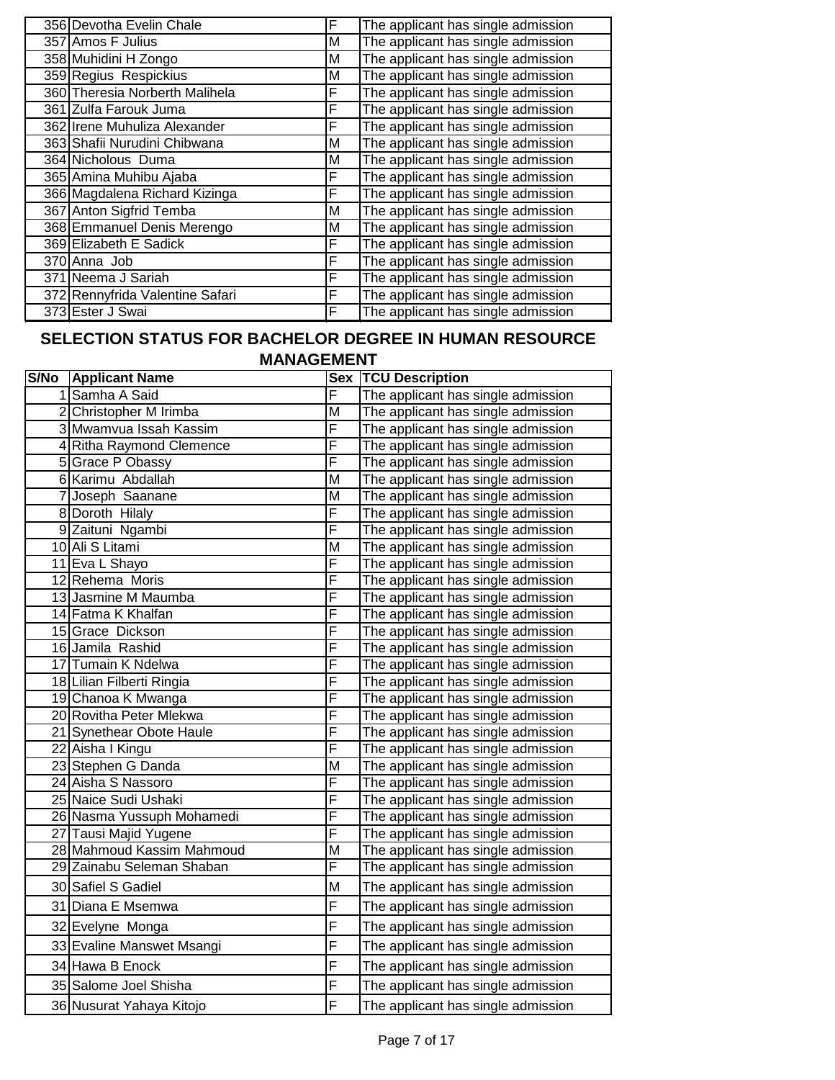| 356 Devotha Evelin Chale        | F | The applicant has single admission |
|---------------------------------|---|------------------------------------|
| 357 Amos F Julius               | М | The applicant has single admission |
| 358 Muhidini H Zongo            | м | The applicant has single admission |
| 359 Regius Respickius           | м | The applicant has single admission |
| 360 Theresia Norberth Malihela  | F | The applicant has single admission |
| 361 Zulfa Farouk Juma           | F | The applicant has single admission |
| 362 Irene Muhuliza Alexander    | F | The applicant has single admission |
| 363 Shafii Nurudini Chibwana    | Μ | The applicant has single admission |
| 364 Nicholous Duma              | м | The applicant has single admission |
| 365 Amina Muhibu Ajaba          | F | The applicant has single admission |
| 366 Magdalena Richard Kizinga   | F | The applicant has single admission |
| 367 Anton Sigfrid Temba         | м | The applicant has single admission |
| 368 Emmanuel Denis Merengo      | м | The applicant has single admission |
| 369 Elizabeth E Sadick          | F | The applicant has single admission |
| 370 Anna Job                    | F | The applicant has single admission |
| 371 Neema J Sariah              | F | The applicant has single admission |
| 372 Rennyfrida Valentine Safari | F | The applicant has single admission |
| 373 Ester J Swai                | F | The applicant has single admission |

## **SELECTION STATUS FOR BACHELOR DEGREE IN HUMAN RESOURCE**

| <b>MANAGEMENT</b> |  |  |
|-------------------|--|--|
|-------------------|--|--|

| S/No | <b>Applicant Name</b>     | <b>Sex</b> | <b>TCU Description</b>             |
|------|---------------------------|------------|------------------------------------|
|      | 1 Samha A Said            | F          | The applicant has single admission |
|      | 2 Christopher M Irimba    | М          | The applicant has single admission |
|      | 3 Mwamvua Issah Kassim    | F          | The applicant has single admission |
|      | 4 Ritha Raymond Clemence  | F          | The applicant has single admission |
|      | 5 Grace P Obassy          | F          | The applicant has single admission |
|      | 6 Karimu Abdallah         | M          | The applicant has single admission |
|      | 7 Joseph Saanane          | M          | The applicant has single admission |
|      | 8 Doroth Hilaly           | F          | The applicant has single admission |
|      | 9 Zaituni Ngambi          | F          | The applicant has single admission |
|      | 10 Ali S Litami           | M          | The applicant has single admission |
|      | 11 Eva L Shayo            | F          | The applicant has single admission |
|      | 12 Rehema Moris           | F          | The applicant has single admission |
|      | 13 Jasmine M Maumba       | F          | The applicant has single admission |
|      | 14 Fatma K Khalfan        | F          | The applicant has single admission |
|      | 15 Grace Dickson          | F          | The applicant has single admission |
|      | 16 Jamila Rashid          | F          | The applicant has single admission |
|      | 17 Tumain K Ndelwa        | F          | The applicant has single admission |
|      | 18 Lilian Filberti Ringia | F          | The applicant has single admission |
|      | 19 Chanoa K Mwanga        | F          | The applicant has single admission |
|      | 20 Rovitha Peter Mlekwa   | F          | The applicant has single admission |
|      | 21 Synethear Obote Haule  | F          | The applicant has single admission |
|      | 22 Aisha I Kingu          | F          | The applicant has single admission |
|      | 23 Stephen G Danda        | M          | The applicant has single admission |
|      | 24 Aisha S Nassoro        | F          | The applicant has single admission |
|      | 25 Naice Sudi Ushaki      | F          | The applicant has single admission |
|      | 26 Nasma Yussuph Mohamedi | F          | The applicant has single admission |
|      | 27 Tausi Majid Yugene     | F          | The applicant has single admission |
|      | 28 Mahmoud Kassim Mahmoud | M          | The applicant has single admission |
|      | 29 Zainabu Seleman Shaban | F          | The applicant has single admission |
|      | 30 Safiel S Gadiel        | M          | The applicant has single admission |
|      | 31 Diana E Msemwa         | F          | The applicant has single admission |
|      | 32 Evelyne Monga          | F          | The applicant has single admission |
|      | 33 Evaline Manswet Msangi | F          | The applicant has single admission |
|      | 34 Hawa B Enock           | F          | The applicant has single admission |
|      | 35 Salome Joel Shisha     | F          | The applicant has single admission |
|      | 36 Nusurat Yahaya Kitojo  | F          | The applicant has single admission |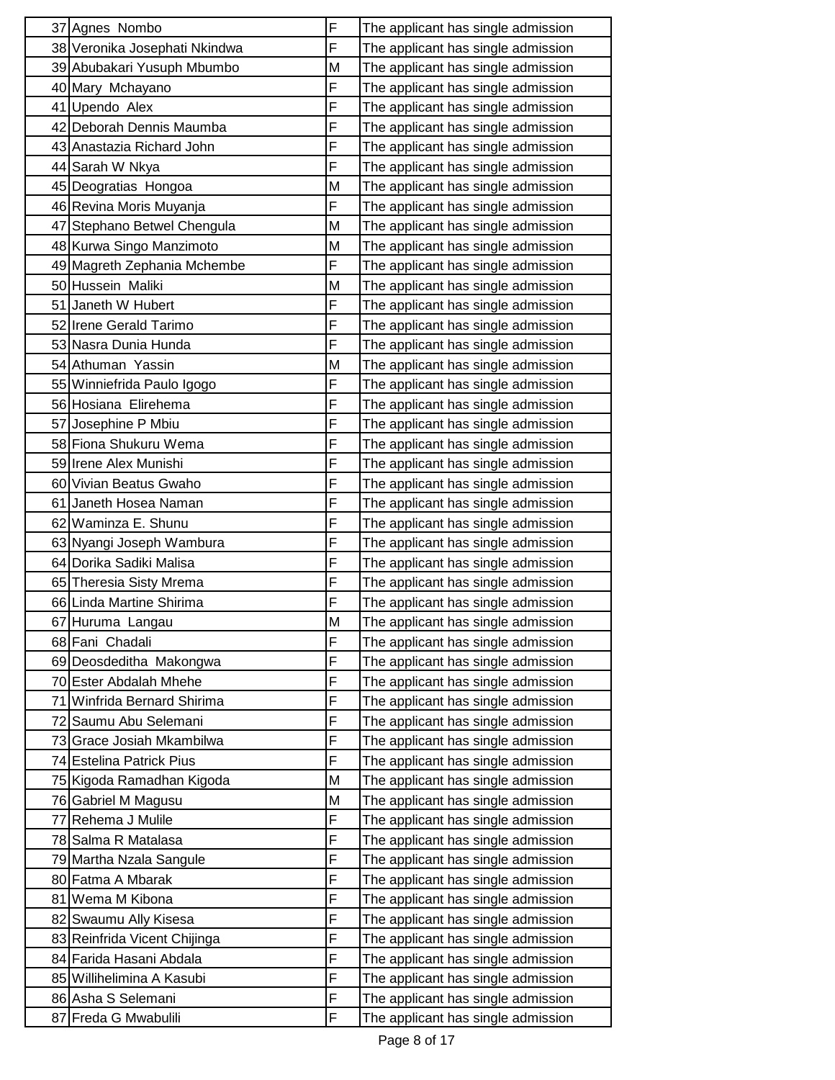| 37 Agnes Nombo                | F | The applicant has single admission |
|-------------------------------|---|------------------------------------|
| 38 Veronika Josephati Nkindwa | F | The applicant has single admission |
| 39 Abubakari Yusuph Mbumbo    | M | The applicant has single admission |
| 40 Mary Mchayano              | F | The applicant has single admission |
| 41 Upendo Alex                | F | The applicant has single admission |
| 42 Deborah Dennis Maumba      | F | The applicant has single admission |
| 43 Anastazia Richard John     | F | The applicant has single admission |
| 44 Sarah W Nkya               | F | The applicant has single admission |
| 45 Deogratias Hongoa          | Μ | The applicant has single admission |
| 46 Revina Moris Muyanja       | F | The applicant has single admission |
| 47 Stephano Betwel Chengula   | M | The applicant has single admission |
| 48 Kurwa Singo Manzimoto      | M | The applicant has single admission |
| 49 Magreth Zephania Mchembe   | F | The applicant has single admission |
| 50 Hussein Maliki             | M | The applicant has single admission |
| 51 Janeth W Hubert            | F | The applicant has single admission |
| 52 Irene Gerald Tarimo        | F | The applicant has single admission |
| 53 Nasra Dunia Hunda          | F | The applicant has single admission |
| 54 Athuman Yassin             | M | The applicant has single admission |
| 55 Winniefrida Paulo Igogo    | F | The applicant has single admission |
| 56 Hosiana Elirehema          | F | The applicant has single admission |
| 57 Josephine P Mbiu           | F | The applicant has single admission |
| 58 Fiona Shukuru Wema         | F | The applicant has single admission |
| 59 Irene Alex Munishi         | F | The applicant has single admission |
| 60 Vivian Beatus Gwaho        | F | The applicant has single admission |
| 61 Janeth Hosea Naman         | F | The applicant has single admission |
| 62 Waminza E. Shunu           | F | The applicant has single admission |
| 63 Nyangi Joseph Wambura      | F | The applicant has single admission |
| 64 Dorika Sadiki Malisa       | F | The applicant has single admission |
| 65 Theresia Sisty Mrema       | F | The applicant has single admission |
| 66 Linda Martine Shirima      | F | The applicant has single admission |
| 67 Huruma Langau              | M | The applicant has single admission |
| 68 Fani Chadali               | F | The applicant has single admission |
| 69 Deosdeditha Makongwa       | F | The applicant has single admission |
| 70 Ester Abdalah Mhehe        | F | The applicant has single admission |
| 71 Winfrida Bernard Shirima   | F | The applicant has single admission |
| 72 Saumu Abu Selemani         | F | The applicant has single admission |
| 73 Grace Josiah Mkambilwa     | F | The applicant has single admission |
| 74 Estelina Patrick Pius      | F | The applicant has single admission |
| 75 Kigoda Ramadhan Kigoda     | M | The applicant has single admission |
| 76 Gabriel M Magusu           | M | The applicant has single admission |
| 77 Rehema J Mulile            | F | The applicant has single admission |
| 78 Salma R Matalasa           | F | The applicant has single admission |
| 79 Martha Nzala Sangule       | F | The applicant has single admission |
| 80 Fatma A Mbarak             | F | The applicant has single admission |
| 81 Wema M Kibona              | F | The applicant has single admission |
| 82 Swaumu Ally Kisesa         | F | The applicant has single admission |
| 83 Reinfrida Vicent Chijinga  | F | The applicant has single admission |
| 84 Farida Hasani Abdala       | F | The applicant has single admission |
| 85 Willihelimina A Kasubi     | F | The applicant has single admission |
| 86 Asha S Selemani            | F | The applicant has single admission |
| 87 Freda G Mwabulili          | F | The applicant has single admission |
|                               |   |                                    |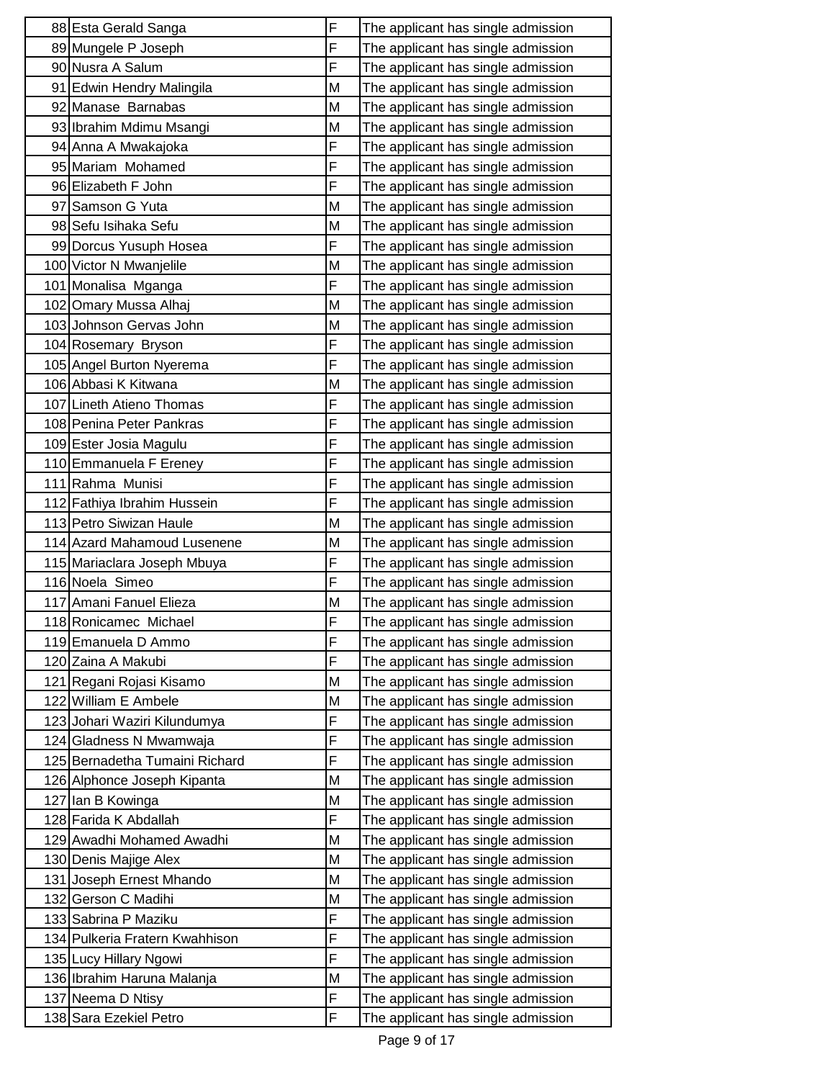| F<br>89 Mungele P Joseph<br>The applicant has single admission<br>F<br>90 Nusra A Salum<br>The applicant has single admission<br>91 Edwin Hendry Malingila<br>M<br>The applicant has single admission<br>M<br>92 Manase Barnabas<br>The applicant has single admission<br>93 Ibrahim Mdimu Msangi<br>M<br>The applicant has single admission<br>F<br>94 Anna A Mwakajoka<br>The applicant has single admission<br>F<br>95 Mariam Mohamed<br>The applicant has single admission<br>F<br>96 Elizabeth F John<br>The applicant has single admission<br>M<br>97 Samson G Yuta<br>The applicant has single admission<br>98 Sefu Isihaka Sefu<br>M<br>The applicant has single admission<br>F<br>99 Dorcus Yusuph Hosea<br>The applicant has single admission<br>100 Victor N Mwanjelile<br>M<br>The applicant has single admission<br>F<br>101 Monalisa Mganga<br>The applicant has single admission<br>102 Omary Mussa Alhaj<br>M<br>The applicant has single admission<br>103 Johnson Gervas John<br>M<br>The applicant has single admission<br>F<br>104 Rosemary Bryson<br>The applicant has single admission<br>F<br>105 Angel Burton Nyerema<br>The applicant has single admission<br>106 Abbasi K Kitwana<br>M<br>The applicant has single admission<br>F<br>107 Lineth Atieno Thomas<br>The applicant has single admission<br>F<br>108 Penina Peter Pankras<br>The applicant has single admission<br>F<br>109 Ester Josia Magulu<br>The applicant has single admission<br>F<br>110 Emmanuela F Ereney<br>The applicant has single admission<br>F<br>111 Rahma Munisi<br>The applicant has single admission<br>F<br>112 Fathiya Ibrahim Hussein<br>The applicant has single admission<br>113 Petro Siwizan Haule<br>M<br>The applicant has single admission<br>114 Azard Mahamoud Lusenene<br>M<br>The applicant has single admission<br>F<br>115 Mariaclara Joseph Mbuya<br>The applicant has single admission<br>F<br>116 Noela Simeo<br>The applicant has single admission<br>117 Amani Fanuel Elieza<br>M<br>The applicant has single admission<br>F<br>118 Ronicamec Michael<br>The applicant has single admission<br>F<br>119 Emanuela D Ammo<br>The applicant has single admission<br>F<br>120 Zaina A Makubi<br>The applicant has single admission<br>M<br>The applicant has single admission<br>121 Regani Rojasi Kisamo<br>122 William E Ambele<br>M<br>The applicant has single admission<br>F<br>123 Johari Waziri Kilundumya<br>The applicant has single admission<br>F<br>124 Gladness N Mwamwaja<br>The applicant has single admission<br>F<br>125 Bernadetha Tumaini Richard<br>The applicant has single admission<br>126 Alphonce Joseph Kipanta<br>M<br>The applicant has single admission<br>127 Ian B Kowinga<br>M<br>The applicant has single admission<br>F<br>128 Farida K Abdallah<br>The applicant has single admission<br>129 Awadhi Mohamed Awadhi<br>M<br>The applicant has single admission<br>M<br>130 Denis Majige Alex<br>The applicant has single admission<br>131 Joseph Ernest Mhando<br>M<br>The applicant has single admission<br>M<br>132 Gerson C Madihi<br>The applicant has single admission<br>F<br>133 Sabrina P Maziku<br>The applicant has single admission<br>F<br>134 Pulkeria Fratern Kwahhison<br>The applicant has single admission<br>F<br>135 Lucy Hillary Ngowi<br>The applicant has single admission<br>136 Ibrahim Haruna Malanja<br>M<br>The applicant has single admission<br>F<br>137 Neema D Ntisy<br>The applicant has single admission<br>F<br>138 Sara Ezekiel Petro<br>The applicant has single admission | 88 Esta Gerald Sanga | F | The applicant has single admission |
|---------------------------------------------------------------------------------------------------------------------------------------------------------------------------------------------------------------------------------------------------------------------------------------------------------------------------------------------------------------------------------------------------------------------------------------------------------------------------------------------------------------------------------------------------------------------------------------------------------------------------------------------------------------------------------------------------------------------------------------------------------------------------------------------------------------------------------------------------------------------------------------------------------------------------------------------------------------------------------------------------------------------------------------------------------------------------------------------------------------------------------------------------------------------------------------------------------------------------------------------------------------------------------------------------------------------------------------------------------------------------------------------------------------------------------------------------------------------------------------------------------------------------------------------------------------------------------------------------------------------------------------------------------------------------------------------------------------------------------------------------------------------------------------------------------------------------------------------------------------------------------------------------------------------------------------------------------------------------------------------------------------------------------------------------------------------------------------------------------------------------------------------------------------------------------------------------------------------------------------------------------------------------------------------------------------------------------------------------------------------------------------------------------------------------------------------------------------------------------------------------------------------------------------------------------------------------------------------------------------------------------------------------------------------------------------------------------------------------------------------------------------------------------------------------------------------------------------------------------------------------------------------------------------------------------------------------------------------------------------------------------------------------------------------------------------------------------------------------------------------------------------------------------------------------------------------------------------------------------------------------------------------------------------------------------------------------------------------------------------------------------------------------------------------------------------------------------------------------------------------------------------------------------------------------------------------------|----------------------|---|------------------------------------|
|                                                                                                                                                                                                                                                                                                                                                                                                                                                                                                                                                                                                                                                                                                                                                                                                                                                                                                                                                                                                                                                                                                                                                                                                                                                                                                                                                                                                                                                                                                                                                                                                                                                                                                                                                                                                                                                                                                                                                                                                                                                                                                                                                                                                                                                                                                                                                                                                                                                                                                                                                                                                                                                                                                                                                                                                                                                                                                                                                                                                                                                                                                                                                                                                                                                                                                                                                                                                                                                                                                                                                                           |                      |   |                                    |
|                                                                                                                                                                                                                                                                                                                                                                                                                                                                                                                                                                                                                                                                                                                                                                                                                                                                                                                                                                                                                                                                                                                                                                                                                                                                                                                                                                                                                                                                                                                                                                                                                                                                                                                                                                                                                                                                                                                                                                                                                                                                                                                                                                                                                                                                                                                                                                                                                                                                                                                                                                                                                                                                                                                                                                                                                                                                                                                                                                                                                                                                                                                                                                                                                                                                                                                                                                                                                                                                                                                                                                           |                      |   |                                    |
|                                                                                                                                                                                                                                                                                                                                                                                                                                                                                                                                                                                                                                                                                                                                                                                                                                                                                                                                                                                                                                                                                                                                                                                                                                                                                                                                                                                                                                                                                                                                                                                                                                                                                                                                                                                                                                                                                                                                                                                                                                                                                                                                                                                                                                                                                                                                                                                                                                                                                                                                                                                                                                                                                                                                                                                                                                                                                                                                                                                                                                                                                                                                                                                                                                                                                                                                                                                                                                                                                                                                                                           |                      |   |                                    |
|                                                                                                                                                                                                                                                                                                                                                                                                                                                                                                                                                                                                                                                                                                                                                                                                                                                                                                                                                                                                                                                                                                                                                                                                                                                                                                                                                                                                                                                                                                                                                                                                                                                                                                                                                                                                                                                                                                                                                                                                                                                                                                                                                                                                                                                                                                                                                                                                                                                                                                                                                                                                                                                                                                                                                                                                                                                                                                                                                                                                                                                                                                                                                                                                                                                                                                                                                                                                                                                                                                                                                                           |                      |   |                                    |
|                                                                                                                                                                                                                                                                                                                                                                                                                                                                                                                                                                                                                                                                                                                                                                                                                                                                                                                                                                                                                                                                                                                                                                                                                                                                                                                                                                                                                                                                                                                                                                                                                                                                                                                                                                                                                                                                                                                                                                                                                                                                                                                                                                                                                                                                                                                                                                                                                                                                                                                                                                                                                                                                                                                                                                                                                                                                                                                                                                                                                                                                                                                                                                                                                                                                                                                                                                                                                                                                                                                                                                           |                      |   |                                    |
|                                                                                                                                                                                                                                                                                                                                                                                                                                                                                                                                                                                                                                                                                                                                                                                                                                                                                                                                                                                                                                                                                                                                                                                                                                                                                                                                                                                                                                                                                                                                                                                                                                                                                                                                                                                                                                                                                                                                                                                                                                                                                                                                                                                                                                                                                                                                                                                                                                                                                                                                                                                                                                                                                                                                                                                                                                                                                                                                                                                                                                                                                                                                                                                                                                                                                                                                                                                                                                                                                                                                                                           |                      |   |                                    |
|                                                                                                                                                                                                                                                                                                                                                                                                                                                                                                                                                                                                                                                                                                                                                                                                                                                                                                                                                                                                                                                                                                                                                                                                                                                                                                                                                                                                                                                                                                                                                                                                                                                                                                                                                                                                                                                                                                                                                                                                                                                                                                                                                                                                                                                                                                                                                                                                                                                                                                                                                                                                                                                                                                                                                                                                                                                                                                                                                                                                                                                                                                                                                                                                                                                                                                                                                                                                                                                                                                                                                                           |                      |   |                                    |
|                                                                                                                                                                                                                                                                                                                                                                                                                                                                                                                                                                                                                                                                                                                                                                                                                                                                                                                                                                                                                                                                                                                                                                                                                                                                                                                                                                                                                                                                                                                                                                                                                                                                                                                                                                                                                                                                                                                                                                                                                                                                                                                                                                                                                                                                                                                                                                                                                                                                                                                                                                                                                                                                                                                                                                                                                                                                                                                                                                                                                                                                                                                                                                                                                                                                                                                                                                                                                                                                                                                                                                           |                      |   |                                    |
|                                                                                                                                                                                                                                                                                                                                                                                                                                                                                                                                                                                                                                                                                                                                                                                                                                                                                                                                                                                                                                                                                                                                                                                                                                                                                                                                                                                                                                                                                                                                                                                                                                                                                                                                                                                                                                                                                                                                                                                                                                                                                                                                                                                                                                                                                                                                                                                                                                                                                                                                                                                                                                                                                                                                                                                                                                                                                                                                                                                                                                                                                                                                                                                                                                                                                                                                                                                                                                                                                                                                                                           |                      |   |                                    |
|                                                                                                                                                                                                                                                                                                                                                                                                                                                                                                                                                                                                                                                                                                                                                                                                                                                                                                                                                                                                                                                                                                                                                                                                                                                                                                                                                                                                                                                                                                                                                                                                                                                                                                                                                                                                                                                                                                                                                                                                                                                                                                                                                                                                                                                                                                                                                                                                                                                                                                                                                                                                                                                                                                                                                                                                                                                                                                                                                                                                                                                                                                                                                                                                                                                                                                                                                                                                                                                                                                                                                                           |                      |   |                                    |
|                                                                                                                                                                                                                                                                                                                                                                                                                                                                                                                                                                                                                                                                                                                                                                                                                                                                                                                                                                                                                                                                                                                                                                                                                                                                                                                                                                                                                                                                                                                                                                                                                                                                                                                                                                                                                                                                                                                                                                                                                                                                                                                                                                                                                                                                                                                                                                                                                                                                                                                                                                                                                                                                                                                                                                                                                                                                                                                                                                                                                                                                                                                                                                                                                                                                                                                                                                                                                                                                                                                                                                           |                      |   |                                    |
|                                                                                                                                                                                                                                                                                                                                                                                                                                                                                                                                                                                                                                                                                                                                                                                                                                                                                                                                                                                                                                                                                                                                                                                                                                                                                                                                                                                                                                                                                                                                                                                                                                                                                                                                                                                                                                                                                                                                                                                                                                                                                                                                                                                                                                                                                                                                                                                                                                                                                                                                                                                                                                                                                                                                                                                                                                                                                                                                                                                                                                                                                                                                                                                                                                                                                                                                                                                                                                                                                                                                                                           |                      |   |                                    |
|                                                                                                                                                                                                                                                                                                                                                                                                                                                                                                                                                                                                                                                                                                                                                                                                                                                                                                                                                                                                                                                                                                                                                                                                                                                                                                                                                                                                                                                                                                                                                                                                                                                                                                                                                                                                                                                                                                                                                                                                                                                                                                                                                                                                                                                                                                                                                                                                                                                                                                                                                                                                                                                                                                                                                                                                                                                                                                                                                                                                                                                                                                                                                                                                                                                                                                                                                                                                                                                                                                                                                                           |                      |   |                                    |
|                                                                                                                                                                                                                                                                                                                                                                                                                                                                                                                                                                                                                                                                                                                                                                                                                                                                                                                                                                                                                                                                                                                                                                                                                                                                                                                                                                                                                                                                                                                                                                                                                                                                                                                                                                                                                                                                                                                                                                                                                                                                                                                                                                                                                                                                                                                                                                                                                                                                                                                                                                                                                                                                                                                                                                                                                                                                                                                                                                                                                                                                                                                                                                                                                                                                                                                                                                                                                                                                                                                                                                           |                      |   |                                    |
|                                                                                                                                                                                                                                                                                                                                                                                                                                                                                                                                                                                                                                                                                                                                                                                                                                                                                                                                                                                                                                                                                                                                                                                                                                                                                                                                                                                                                                                                                                                                                                                                                                                                                                                                                                                                                                                                                                                                                                                                                                                                                                                                                                                                                                                                                                                                                                                                                                                                                                                                                                                                                                                                                                                                                                                                                                                                                                                                                                                                                                                                                                                                                                                                                                                                                                                                                                                                                                                                                                                                                                           |                      |   |                                    |
|                                                                                                                                                                                                                                                                                                                                                                                                                                                                                                                                                                                                                                                                                                                                                                                                                                                                                                                                                                                                                                                                                                                                                                                                                                                                                                                                                                                                                                                                                                                                                                                                                                                                                                                                                                                                                                                                                                                                                                                                                                                                                                                                                                                                                                                                                                                                                                                                                                                                                                                                                                                                                                                                                                                                                                                                                                                                                                                                                                                                                                                                                                                                                                                                                                                                                                                                                                                                                                                                                                                                                                           |                      |   |                                    |
|                                                                                                                                                                                                                                                                                                                                                                                                                                                                                                                                                                                                                                                                                                                                                                                                                                                                                                                                                                                                                                                                                                                                                                                                                                                                                                                                                                                                                                                                                                                                                                                                                                                                                                                                                                                                                                                                                                                                                                                                                                                                                                                                                                                                                                                                                                                                                                                                                                                                                                                                                                                                                                                                                                                                                                                                                                                                                                                                                                                                                                                                                                                                                                                                                                                                                                                                                                                                                                                                                                                                                                           |                      |   |                                    |
|                                                                                                                                                                                                                                                                                                                                                                                                                                                                                                                                                                                                                                                                                                                                                                                                                                                                                                                                                                                                                                                                                                                                                                                                                                                                                                                                                                                                                                                                                                                                                                                                                                                                                                                                                                                                                                                                                                                                                                                                                                                                                                                                                                                                                                                                                                                                                                                                                                                                                                                                                                                                                                                                                                                                                                                                                                                                                                                                                                                                                                                                                                                                                                                                                                                                                                                                                                                                                                                                                                                                                                           |                      |   |                                    |
|                                                                                                                                                                                                                                                                                                                                                                                                                                                                                                                                                                                                                                                                                                                                                                                                                                                                                                                                                                                                                                                                                                                                                                                                                                                                                                                                                                                                                                                                                                                                                                                                                                                                                                                                                                                                                                                                                                                                                                                                                                                                                                                                                                                                                                                                                                                                                                                                                                                                                                                                                                                                                                                                                                                                                                                                                                                                                                                                                                                                                                                                                                                                                                                                                                                                                                                                                                                                                                                                                                                                                                           |                      |   |                                    |
|                                                                                                                                                                                                                                                                                                                                                                                                                                                                                                                                                                                                                                                                                                                                                                                                                                                                                                                                                                                                                                                                                                                                                                                                                                                                                                                                                                                                                                                                                                                                                                                                                                                                                                                                                                                                                                                                                                                                                                                                                                                                                                                                                                                                                                                                                                                                                                                                                                                                                                                                                                                                                                                                                                                                                                                                                                                                                                                                                                                                                                                                                                                                                                                                                                                                                                                                                                                                                                                                                                                                                                           |                      |   |                                    |
|                                                                                                                                                                                                                                                                                                                                                                                                                                                                                                                                                                                                                                                                                                                                                                                                                                                                                                                                                                                                                                                                                                                                                                                                                                                                                                                                                                                                                                                                                                                                                                                                                                                                                                                                                                                                                                                                                                                                                                                                                                                                                                                                                                                                                                                                                                                                                                                                                                                                                                                                                                                                                                                                                                                                                                                                                                                                                                                                                                                                                                                                                                                                                                                                                                                                                                                                                                                                                                                                                                                                                                           |                      |   |                                    |
|                                                                                                                                                                                                                                                                                                                                                                                                                                                                                                                                                                                                                                                                                                                                                                                                                                                                                                                                                                                                                                                                                                                                                                                                                                                                                                                                                                                                                                                                                                                                                                                                                                                                                                                                                                                                                                                                                                                                                                                                                                                                                                                                                                                                                                                                                                                                                                                                                                                                                                                                                                                                                                                                                                                                                                                                                                                                                                                                                                                                                                                                                                                                                                                                                                                                                                                                                                                                                                                                                                                                                                           |                      |   |                                    |
|                                                                                                                                                                                                                                                                                                                                                                                                                                                                                                                                                                                                                                                                                                                                                                                                                                                                                                                                                                                                                                                                                                                                                                                                                                                                                                                                                                                                                                                                                                                                                                                                                                                                                                                                                                                                                                                                                                                                                                                                                                                                                                                                                                                                                                                                                                                                                                                                                                                                                                                                                                                                                                                                                                                                                                                                                                                                                                                                                                                                                                                                                                                                                                                                                                                                                                                                                                                                                                                                                                                                                                           |                      |   |                                    |
|                                                                                                                                                                                                                                                                                                                                                                                                                                                                                                                                                                                                                                                                                                                                                                                                                                                                                                                                                                                                                                                                                                                                                                                                                                                                                                                                                                                                                                                                                                                                                                                                                                                                                                                                                                                                                                                                                                                                                                                                                                                                                                                                                                                                                                                                                                                                                                                                                                                                                                                                                                                                                                                                                                                                                                                                                                                                                                                                                                                                                                                                                                                                                                                                                                                                                                                                                                                                                                                                                                                                                                           |                      |   |                                    |
|                                                                                                                                                                                                                                                                                                                                                                                                                                                                                                                                                                                                                                                                                                                                                                                                                                                                                                                                                                                                                                                                                                                                                                                                                                                                                                                                                                                                                                                                                                                                                                                                                                                                                                                                                                                                                                                                                                                                                                                                                                                                                                                                                                                                                                                                                                                                                                                                                                                                                                                                                                                                                                                                                                                                                                                                                                                                                                                                                                                                                                                                                                                                                                                                                                                                                                                                                                                                                                                                                                                                                                           |                      |   |                                    |
|                                                                                                                                                                                                                                                                                                                                                                                                                                                                                                                                                                                                                                                                                                                                                                                                                                                                                                                                                                                                                                                                                                                                                                                                                                                                                                                                                                                                                                                                                                                                                                                                                                                                                                                                                                                                                                                                                                                                                                                                                                                                                                                                                                                                                                                                                                                                                                                                                                                                                                                                                                                                                                                                                                                                                                                                                                                                                                                                                                                                                                                                                                                                                                                                                                                                                                                                                                                                                                                                                                                                                                           |                      |   |                                    |
|                                                                                                                                                                                                                                                                                                                                                                                                                                                                                                                                                                                                                                                                                                                                                                                                                                                                                                                                                                                                                                                                                                                                                                                                                                                                                                                                                                                                                                                                                                                                                                                                                                                                                                                                                                                                                                                                                                                                                                                                                                                                                                                                                                                                                                                                                                                                                                                                                                                                                                                                                                                                                                                                                                                                                                                                                                                                                                                                                                                                                                                                                                                                                                                                                                                                                                                                                                                                                                                                                                                                                                           |                      |   |                                    |
|                                                                                                                                                                                                                                                                                                                                                                                                                                                                                                                                                                                                                                                                                                                                                                                                                                                                                                                                                                                                                                                                                                                                                                                                                                                                                                                                                                                                                                                                                                                                                                                                                                                                                                                                                                                                                                                                                                                                                                                                                                                                                                                                                                                                                                                                                                                                                                                                                                                                                                                                                                                                                                                                                                                                                                                                                                                                                                                                                                                                                                                                                                                                                                                                                                                                                                                                                                                                                                                                                                                                                                           |                      |   |                                    |
|                                                                                                                                                                                                                                                                                                                                                                                                                                                                                                                                                                                                                                                                                                                                                                                                                                                                                                                                                                                                                                                                                                                                                                                                                                                                                                                                                                                                                                                                                                                                                                                                                                                                                                                                                                                                                                                                                                                                                                                                                                                                                                                                                                                                                                                                                                                                                                                                                                                                                                                                                                                                                                                                                                                                                                                                                                                                                                                                                                                                                                                                                                                                                                                                                                                                                                                                                                                                                                                                                                                                                                           |                      |   |                                    |
|                                                                                                                                                                                                                                                                                                                                                                                                                                                                                                                                                                                                                                                                                                                                                                                                                                                                                                                                                                                                                                                                                                                                                                                                                                                                                                                                                                                                                                                                                                                                                                                                                                                                                                                                                                                                                                                                                                                                                                                                                                                                                                                                                                                                                                                                                                                                                                                                                                                                                                                                                                                                                                                                                                                                                                                                                                                                                                                                                                                                                                                                                                                                                                                                                                                                                                                                                                                                                                                                                                                                                                           |                      |   |                                    |
|                                                                                                                                                                                                                                                                                                                                                                                                                                                                                                                                                                                                                                                                                                                                                                                                                                                                                                                                                                                                                                                                                                                                                                                                                                                                                                                                                                                                                                                                                                                                                                                                                                                                                                                                                                                                                                                                                                                                                                                                                                                                                                                                                                                                                                                                                                                                                                                                                                                                                                                                                                                                                                                                                                                                                                                                                                                                                                                                                                                                                                                                                                                                                                                                                                                                                                                                                                                                                                                                                                                                                                           |                      |   |                                    |
|                                                                                                                                                                                                                                                                                                                                                                                                                                                                                                                                                                                                                                                                                                                                                                                                                                                                                                                                                                                                                                                                                                                                                                                                                                                                                                                                                                                                                                                                                                                                                                                                                                                                                                                                                                                                                                                                                                                                                                                                                                                                                                                                                                                                                                                                                                                                                                                                                                                                                                                                                                                                                                                                                                                                                                                                                                                                                                                                                                                                                                                                                                                                                                                                                                                                                                                                                                                                                                                                                                                                                                           |                      |   |                                    |
|                                                                                                                                                                                                                                                                                                                                                                                                                                                                                                                                                                                                                                                                                                                                                                                                                                                                                                                                                                                                                                                                                                                                                                                                                                                                                                                                                                                                                                                                                                                                                                                                                                                                                                                                                                                                                                                                                                                                                                                                                                                                                                                                                                                                                                                                                                                                                                                                                                                                                                                                                                                                                                                                                                                                                                                                                                                                                                                                                                                                                                                                                                                                                                                                                                                                                                                                                                                                                                                                                                                                                                           |                      |   |                                    |
|                                                                                                                                                                                                                                                                                                                                                                                                                                                                                                                                                                                                                                                                                                                                                                                                                                                                                                                                                                                                                                                                                                                                                                                                                                                                                                                                                                                                                                                                                                                                                                                                                                                                                                                                                                                                                                                                                                                                                                                                                                                                                                                                                                                                                                                                                                                                                                                                                                                                                                                                                                                                                                                                                                                                                                                                                                                                                                                                                                                                                                                                                                                                                                                                                                                                                                                                                                                                                                                                                                                                                                           |                      |   |                                    |
|                                                                                                                                                                                                                                                                                                                                                                                                                                                                                                                                                                                                                                                                                                                                                                                                                                                                                                                                                                                                                                                                                                                                                                                                                                                                                                                                                                                                                                                                                                                                                                                                                                                                                                                                                                                                                                                                                                                                                                                                                                                                                                                                                                                                                                                                                                                                                                                                                                                                                                                                                                                                                                                                                                                                                                                                                                                                                                                                                                                                                                                                                                                                                                                                                                                                                                                                                                                                                                                                                                                                                                           |                      |   |                                    |
|                                                                                                                                                                                                                                                                                                                                                                                                                                                                                                                                                                                                                                                                                                                                                                                                                                                                                                                                                                                                                                                                                                                                                                                                                                                                                                                                                                                                                                                                                                                                                                                                                                                                                                                                                                                                                                                                                                                                                                                                                                                                                                                                                                                                                                                                                                                                                                                                                                                                                                                                                                                                                                                                                                                                                                                                                                                                                                                                                                                                                                                                                                                                                                                                                                                                                                                                                                                                                                                                                                                                                                           |                      |   |                                    |
|                                                                                                                                                                                                                                                                                                                                                                                                                                                                                                                                                                                                                                                                                                                                                                                                                                                                                                                                                                                                                                                                                                                                                                                                                                                                                                                                                                                                                                                                                                                                                                                                                                                                                                                                                                                                                                                                                                                                                                                                                                                                                                                                                                                                                                                                                                                                                                                                                                                                                                                                                                                                                                                                                                                                                                                                                                                                                                                                                                                                                                                                                                                                                                                                                                                                                                                                                                                                                                                                                                                                                                           |                      |   |                                    |
|                                                                                                                                                                                                                                                                                                                                                                                                                                                                                                                                                                                                                                                                                                                                                                                                                                                                                                                                                                                                                                                                                                                                                                                                                                                                                                                                                                                                                                                                                                                                                                                                                                                                                                                                                                                                                                                                                                                                                                                                                                                                                                                                                                                                                                                                                                                                                                                                                                                                                                                                                                                                                                                                                                                                                                                                                                                                                                                                                                                                                                                                                                                                                                                                                                                                                                                                                                                                                                                                                                                                                                           |                      |   |                                    |
|                                                                                                                                                                                                                                                                                                                                                                                                                                                                                                                                                                                                                                                                                                                                                                                                                                                                                                                                                                                                                                                                                                                                                                                                                                                                                                                                                                                                                                                                                                                                                                                                                                                                                                                                                                                                                                                                                                                                                                                                                                                                                                                                                                                                                                                                                                                                                                                                                                                                                                                                                                                                                                                                                                                                                                                                                                                                                                                                                                                                                                                                                                                                                                                                                                                                                                                                                                                                                                                                                                                                                                           |                      |   |                                    |
|                                                                                                                                                                                                                                                                                                                                                                                                                                                                                                                                                                                                                                                                                                                                                                                                                                                                                                                                                                                                                                                                                                                                                                                                                                                                                                                                                                                                                                                                                                                                                                                                                                                                                                                                                                                                                                                                                                                                                                                                                                                                                                                                                                                                                                                                                                                                                                                                                                                                                                                                                                                                                                                                                                                                                                                                                                                                                                                                                                                                                                                                                                                                                                                                                                                                                                                                                                                                                                                                                                                                                                           |                      |   |                                    |
|                                                                                                                                                                                                                                                                                                                                                                                                                                                                                                                                                                                                                                                                                                                                                                                                                                                                                                                                                                                                                                                                                                                                                                                                                                                                                                                                                                                                                                                                                                                                                                                                                                                                                                                                                                                                                                                                                                                                                                                                                                                                                                                                                                                                                                                                                                                                                                                                                                                                                                                                                                                                                                                                                                                                                                                                                                                                                                                                                                                                                                                                                                                                                                                                                                                                                                                                                                                                                                                                                                                                                                           |                      |   |                                    |
|                                                                                                                                                                                                                                                                                                                                                                                                                                                                                                                                                                                                                                                                                                                                                                                                                                                                                                                                                                                                                                                                                                                                                                                                                                                                                                                                                                                                                                                                                                                                                                                                                                                                                                                                                                                                                                                                                                                                                                                                                                                                                                                                                                                                                                                                                                                                                                                                                                                                                                                                                                                                                                                                                                                                                                                                                                                                                                                                                                                                                                                                                                                                                                                                                                                                                                                                                                                                                                                                                                                                                                           |                      |   |                                    |
|                                                                                                                                                                                                                                                                                                                                                                                                                                                                                                                                                                                                                                                                                                                                                                                                                                                                                                                                                                                                                                                                                                                                                                                                                                                                                                                                                                                                                                                                                                                                                                                                                                                                                                                                                                                                                                                                                                                                                                                                                                                                                                                                                                                                                                                                                                                                                                                                                                                                                                                                                                                                                                                                                                                                                                                                                                                                                                                                                                                                                                                                                                                                                                                                                                                                                                                                                                                                                                                                                                                                                                           |                      |   |                                    |
|                                                                                                                                                                                                                                                                                                                                                                                                                                                                                                                                                                                                                                                                                                                                                                                                                                                                                                                                                                                                                                                                                                                                                                                                                                                                                                                                                                                                                                                                                                                                                                                                                                                                                                                                                                                                                                                                                                                                                                                                                                                                                                                                                                                                                                                                                                                                                                                                                                                                                                                                                                                                                                                                                                                                                                                                                                                                                                                                                                                                                                                                                                                                                                                                                                                                                                                                                                                                                                                                                                                                                                           |                      |   |                                    |
|                                                                                                                                                                                                                                                                                                                                                                                                                                                                                                                                                                                                                                                                                                                                                                                                                                                                                                                                                                                                                                                                                                                                                                                                                                                                                                                                                                                                                                                                                                                                                                                                                                                                                                                                                                                                                                                                                                                                                                                                                                                                                                                                                                                                                                                                                                                                                                                                                                                                                                                                                                                                                                                                                                                                                                                                                                                                                                                                                                                                                                                                                                                                                                                                                                                                                                                                                                                                                                                                                                                                                                           |                      |   |                                    |
|                                                                                                                                                                                                                                                                                                                                                                                                                                                                                                                                                                                                                                                                                                                                                                                                                                                                                                                                                                                                                                                                                                                                                                                                                                                                                                                                                                                                                                                                                                                                                                                                                                                                                                                                                                                                                                                                                                                                                                                                                                                                                                                                                                                                                                                                                                                                                                                                                                                                                                                                                                                                                                                                                                                                                                                                                                                                                                                                                                                                                                                                                                                                                                                                                                                                                                                                                                                                                                                                                                                                                                           |                      |   |                                    |
|                                                                                                                                                                                                                                                                                                                                                                                                                                                                                                                                                                                                                                                                                                                                                                                                                                                                                                                                                                                                                                                                                                                                                                                                                                                                                                                                                                                                                                                                                                                                                                                                                                                                                                                                                                                                                                                                                                                                                                                                                                                                                                                                                                                                                                                                                                                                                                                                                                                                                                                                                                                                                                                                                                                                                                                                                                                                                                                                                                                                                                                                                                                                                                                                                                                                                                                                                                                                                                                                                                                                                                           |                      |   |                                    |
|                                                                                                                                                                                                                                                                                                                                                                                                                                                                                                                                                                                                                                                                                                                                                                                                                                                                                                                                                                                                                                                                                                                                                                                                                                                                                                                                                                                                                                                                                                                                                                                                                                                                                                                                                                                                                                                                                                                                                                                                                                                                                                                                                                                                                                                                                                                                                                                                                                                                                                                                                                                                                                                                                                                                                                                                                                                                                                                                                                                                                                                                                                                                                                                                                                                                                                                                                                                                                                                                                                                                                                           |                      |   |                                    |
|                                                                                                                                                                                                                                                                                                                                                                                                                                                                                                                                                                                                                                                                                                                                                                                                                                                                                                                                                                                                                                                                                                                                                                                                                                                                                                                                                                                                                                                                                                                                                                                                                                                                                                                                                                                                                                                                                                                                                                                                                                                                                                                                                                                                                                                                                                                                                                                                                                                                                                                                                                                                                                                                                                                                                                                                                                                                                                                                                                                                                                                                                                                                                                                                                                                                                                                                                                                                                                                                                                                                                                           |                      |   |                                    |
|                                                                                                                                                                                                                                                                                                                                                                                                                                                                                                                                                                                                                                                                                                                                                                                                                                                                                                                                                                                                                                                                                                                                                                                                                                                                                                                                                                                                                                                                                                                                                                                                                                                                                                                                                                                                                                                                                                                                                                                                                                                                                                                                                                                                                                                                                                                                                                                                                                                                                                                                                                                                                                                                                                                                                                                                                                                                                                                                                                                                                                                                                                                                                                                                                                                                                                                                                                                                                                                                                                                                                                           |                      |   |                                    |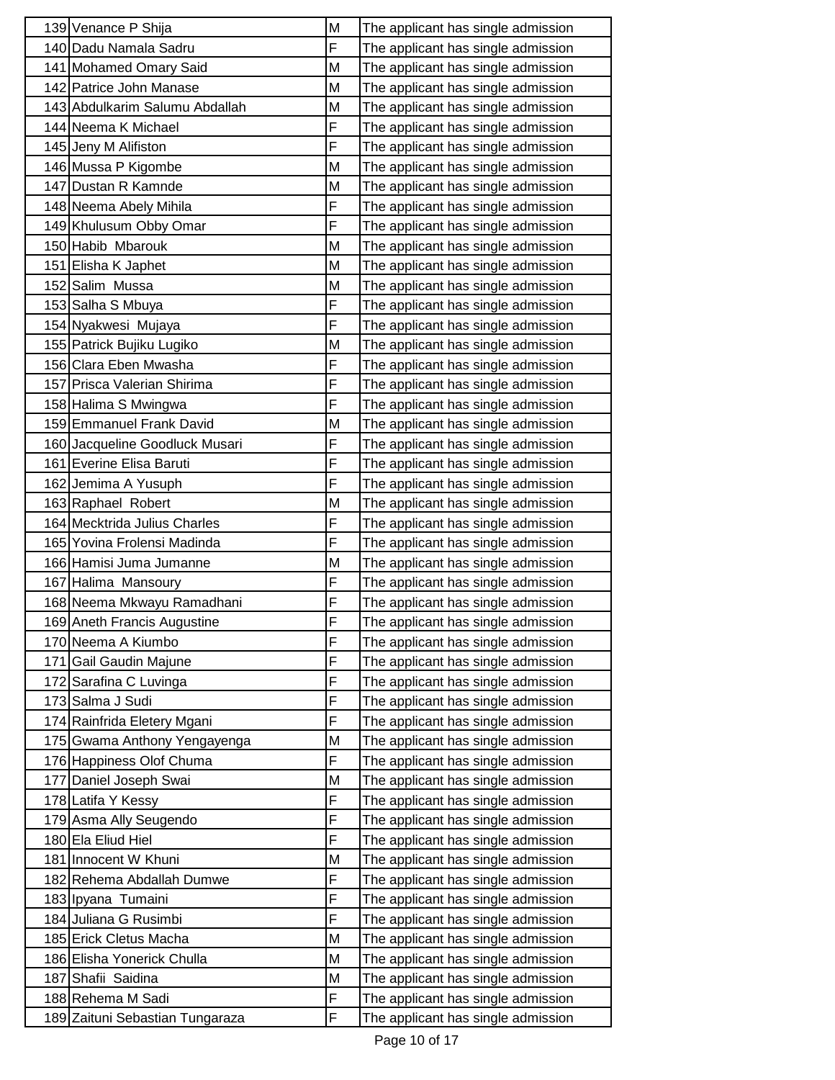| 139 Venance P Shija             | M | The applicant has single admission |
|---------------------------------|---|------------------------------------|
| 140 Dadu Namala Sadru           | F | The applicant has single admission |
| 141 Mohamed Omary Said          | M | The applicant has single admission |
| 142 Patrice John Manase         | M | The applicant has single admission |
| 143 Abdulkarim Salumu Abdallah  | M | The applicant has single admission |
| 144 Neema K Michael             | F | The applicant has single admission |
| 145 Jeny M Alifiston            | F | The applicant has single admission |
| 146 Mussa P Kigombe             | M | The applicant has single admission |
| 147 Dustan R Kamnde             | M | The applicant has single admission |
| 148 Neema Abely Mihila          | F | The applicant has single admission |
| 149 Khulusum Obby Omar          | F | The applicant has single admission |
| 150 Habib Mbarouk               | M | The applicant has single admission |
| 151 Elisha K Japhet             | M | The applicant has single admission |
| 152 Salim Mussa                 | M | The applicant has single admission |
| 153 Salha S Mbuya               | F | The applicant has single admission |
| 154 Nyakwesi Mujaya             | F | The applicant has single admission |
| 155 Patrick Bujiku Lugiko       | M | The applicant has single admission |
| 156 Clara Eben Mwasha           | F | The applicant has single admission |
| 157 Prisca Valerian Shirima     | F | The applicant has single admission |
| 158 Halima S Mwingwa            | F | The applicant has single admission |
| 159 Emmanuel Frank David        | M | The applicant has single admission |
| 160 Jacqueline Goodluck Musari  | F | The applicant has single admission |
| 161 Everine Elisa Baruti        | F | The applicant has single admission |
| 162 Jemima A Yusuph             | F | The applicant has single admission |
| 163 Raphael Robert              | M | The applicant has single admission |
| 164 Mecktrida Julius Charles    | F | The applicant has single admission |
| 165 Yovina Frolensi Madinda     | F | The applicant has single admission |
| 166 Hamisi Juma Jumanne         | M | The applicant has single admission |
| 167 Halima Mansoury             | F | The applicant has single admission |
| 168 Neema Mkwayu Ramadhani      | F | The applicant has single admission |
| 169 Aneth Francis Augustine     | F | The applicant has single admission |
| 170 Neema A Kiumbo              | F | The applicant has single admission |
| 171 Gail Gaudin Majune          | F | The applicant has single admission |
| 172 Sarafina C Luvinga          | F | The applicant has single admission |
| 173 Salma J Sudi                | F | The applicant has single admission |
| 174 Rainfrida Eletery Mgani     | F | The applicant has single admission |
| 175 Gwama Anthony Yengayenga    | M | The applicant has single admission |
| 176 Happiness Olof Chuma        | F | The applicant has single admission |
| 177 Daniel Joseph Swai          | M | The applicant has single admission |
| 178 Latifa Y Kessy              | F | The applicant has single admission |
| 179 Asma Ally Seugendo          | F | The applicant has single admission |
| 180 Ela Eliud Hiel              | F | The applicant has single admission |
| 181 Innocent W Khuni            | M | The applicant has single admission |
| 182 Rehema Abdallah Dumwe       | F | The applicant has single admission |
| 183 Ipyana Tumaini              | F | The applicant has single admission |
| 184 Juliana G Rusimbi           | F | The applicant has single admission |
| 185 Erick Cletus Macha          | M | The applicant has single admission |
| 186 Elisha Yonerick Chulla      | M | The applicant has single admission |
| 187 Shafii Saidina              | M | The applicant has single admission |
| 188 Rehema M Sadi               | F | The applicant has single admission |
| 189 Zaituni Sebastian Tungaraza | F | The applicant has single admission |
|                                 |   |                                    |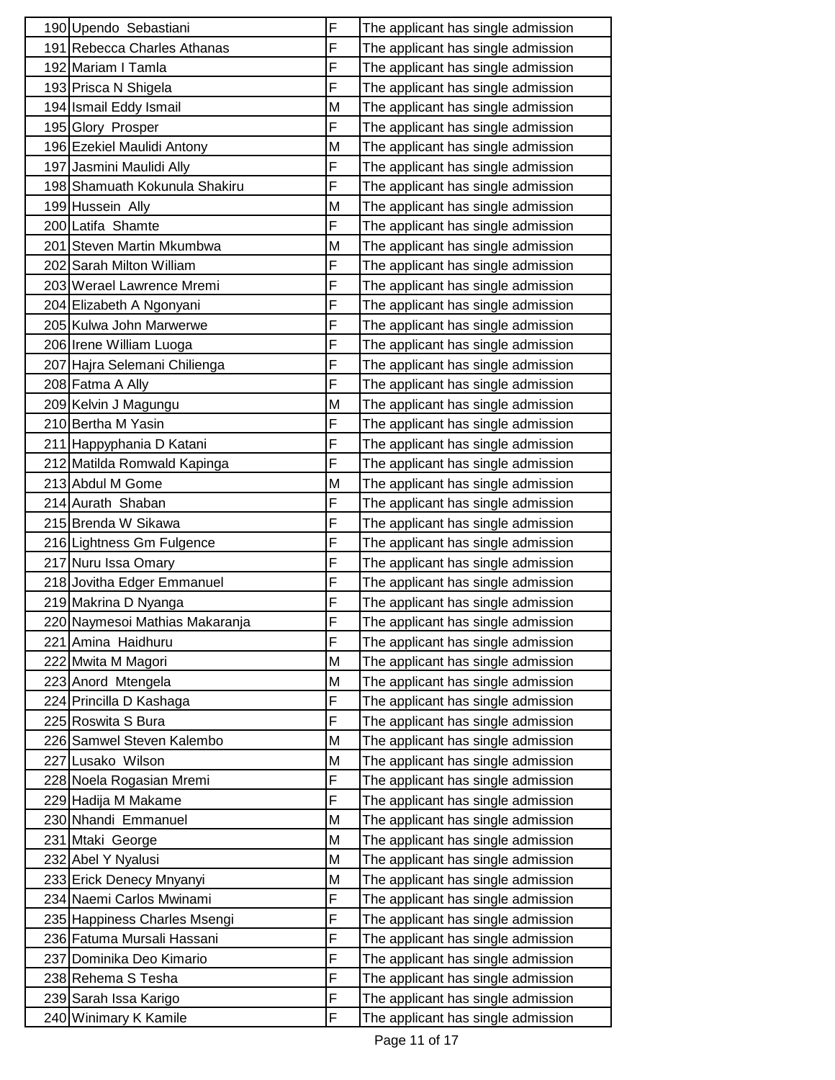| 190 Upendo Sebastiani          | F | The applicant has single admission |
|--------------------------------|---|------------------------------------|
| 191 Rebecca Charles Athanas    | F | The applicant has single admission |
| 192 Mariam I Tamla             | F | The applicant has single admission |
| 193 Prisca N Shigela           | F | The applicant has single admission |
| 194 Ismail Eddy Ismail         | M | The applicant has single admission |
| 195 Glory Prosper              | F | The applicant has single admission |
| 196 Ezekiel Maulidi Antony     | M | The applicant has single admission |
| 197 Jasmini Maulidi Ally       | F | The applicant has single admission |
| 198 Shamuath Kokunula Shakiru  | F | The applicant has single admission |
| 199 Hussein Ally               | M | The applicant has single admission |
| 200 Latifa Shamte              | F | The applicant has single admission |
| 201 Steven Martin Mkumbwa      | M | The applicant has single admission |
| 202 Sarah Milton William       | F | The applicant has single admission |
| 203 Werael Lawrence Mremi      | F | The applicant has single admission |
| 204 Elizabeth A Ngonyani       | F | The applicant has single admission |
| 205 Kulwa John Marwerwe        | F | The applicant has single admission |
| 206 Irene William Luoga        | F | The applicant has single admission |
| 207 Hajra Selemani Chilienga   | F | The applicant has single admission |
| 208 Fatma A Ally               | F | The applicant has single admission |
| 209 Kelvin J Magungu           | M | The applicant has single admission |
| 210 Bertha M Yasin             | F | The applicant has single admission |
| 211 Happyphania D Katani       | F | The applicant has single admission |
| 212 Matilda Romwald Kapinga    | F | The applicant has single admission |
| 213 Abdul M Gome               | M | The applicant has single admission |
| 214 Aurath Shaban              | F | The applicant has single admission |
| 215 Brenda W Sikawa            | F | The applicant has single admission |
| 216 Lightness Gm Fulgence      | F | The applicant has single admission |
| 217 Nuru Issa Omary            | F | The applicant has single admission |
| 218 Jovitha Edger Emmanuel     | F | The applicant has single admission |
| 219 Makrina D Nyanga           | F | The applicant has single admission |
| 220 Naymesoi Mathias Makaranja | F | The applicant has single admission |
| 221 Amina Haidhuru             | F | The applicant has single admission |
| 222 Mwita M Magori             | M | The applicant has single admission |
| 223 Anord Mtengela             | M | The applicant has single admission |
| 224 Princilla D Kashaga        | F | The applicant has single admission |
| 225 Roswita S Bura             | F | The applicant has single admission |
| 226 Samwel Steven Kalembo      | M | The applicant has single admission |
| 227 Lusako Wilson              | M | The applicant has single admission |
| 228 Noela Rogasian Mremi       | F | The applicant has single admission |
| 229 Hadija M Makame            | F | The applicant has single admission |
| 230 Nhandi Emmanuel            | M | The applicant has single admission |
| 231 Mtaki George               | M | The applicant has single admission |
| 232 Abel Y Nyalusi             | M | The applicant has single admission |
| 233 Erick Denecy Mnyanyi       | M | The applicant has single admission |
| 234 Naemi Carlos Mwinami       | F | The applicant has single admission |
| 235 Happiness Charles Msengi   | F | The applicant has single admission |
| 236 Fatuma Mursali Hassani     | F | The applicant has single admission |
| 237 Dominika Deo Kimario       | F | The applicant has single admission |
| 238 Rehema S Tesha             | F | The applicant has single admission |
| 239 Sarah Issa Karigo          | F | The applicant has single admission |
| 240 Winimary K Kamile          | F | The applicant has single admission |
|                                |   |                                    |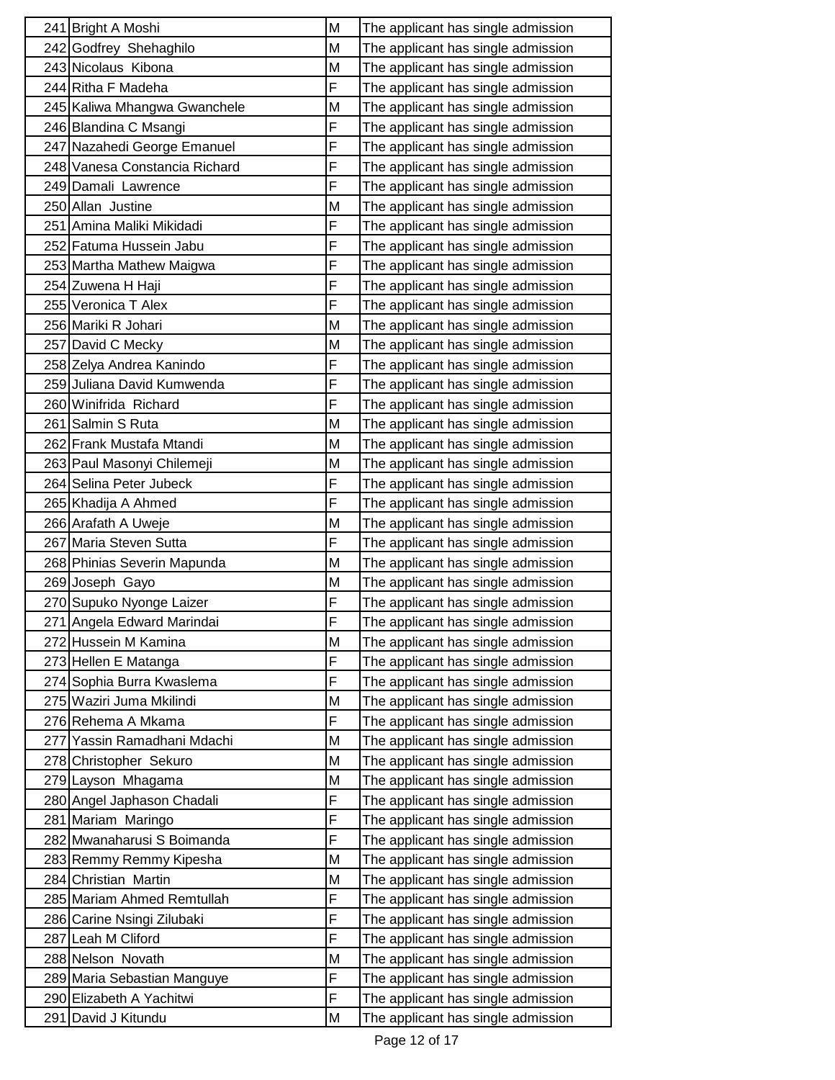| 241 Bright A Moshi            | M | The applicant has single admission |
|-------------------------------|---|------------------------------------|
| 242 Godfrey Shehaghilo        | M | The applicant has single admission |
| 243 Nicolaus Kibona           | M | The applicant has single admission |
| 244 Ritha F Madeha            | F | The applicant has single admission |
| 245 Kaliwa Mhangwa Gwanchele  | M | The applicant has single admission |
| 246 Blandina C Msangi         | F | The applicant has single admission |
| 247 Nazahedi George Emanuel   | F | The applicant has single admission |
| 248 Vanesa Constancia Richard | F | The applicant has single admission |
| 249 Damali Lawrence           | F | The applicant has single admission |
| 250 Allan Justine             | M | The applicant has single admission |
| 251 Amina Maliki Mikidadi     | F | The applicant has single admission |
| 252 Fatuma Hussein Jabu       | F | The applicant has single admission |
| 253 Martha Mathew Maigwa      | F | The applicant has single admission |
| 254 Zuwena H Haji             | F | The applicant has single admission |
| 255 Veronica T Alex           | F | The applicant has single admission |
| 256 Mariki R Johari           | М | The applicant has single admission |
| 257 David C Mecky             | M | The applicant has single admission |
| 258 Zelya Andrea Kanindo      | F | The applicant has single admission |
| 259 Juliana David Kumwenda    | F | The applicant has single admission |
| 260 Winifrida Richard         | F | The applicant has single admission |
| 261 Salmin S Ruta             | M | The applicant has single admission |
| 262 Frank Mustafa Mtandi      | M | The applicant has single admission |
| 263 Paul Masonyi Chilemeji    | M | The applicant has single admission |
| 264 Selina Peter Jubeck       | F | The applicant has single admission |
| 265 Khadija A Ahmed           | F | The applicant has single admission |
| 266 Arafath A Uweje           | M | The applicant has single admission |
| 267 Maria Steven Sutta        | F | The applicant has single admission |
| 268 Phinias Severin Mapunda   | M | The applicant has single admission |
| 269 Joseph Gayo               | M | The applicant has single admission |
| 270 Supuko Nyonge Laizer      | F | The applicant has single admission |
| 271 Angela Edward Marindai    | F | The applicant has single admission |
| 272 Hussein M Kamina          | M | The applicant has single admission |
| 273 Hellen E Matanga          | F | The applicant has single admission |
| 274 Sophia Burra Kwaslema     | F | The applicant has single admission |
| 275 Waziri Juma Mkilindi      | M | The applicant has single admission |
| 276 Rehema A Mkama            | F | The applicant has single admission |
| 277 Yassin Ramadhani Mdachi   | M | The applicant has single admission |
| 278 Christopher Sekuro        | M | The applicant has single admission |
| 279 Layson Mhagama            | M | The applicant has single admission |
| 280 Angel Japhason Chadali    | F | The applicant has single admission |
| 281 Mariam Maringo            | F | The applicant has single admission |
| 282 Mwanaharusi S Boimanda    | F | The applicant has single admission |
| 283 Remmy Remmy Kipesha       | M | The applicant has single admission |
| 284 Christian Martin          | M | The applicant has single admission |
| 285 Mariam Ahmed Remtullah    | F | The applicant has single admission |
| 286 Carine Nsingi Zilubaki    | F | The applicant has single admission |
| 287 Leah M Cliford            | F | The applicant has single admission |
| 288 Nelson Novath             | M | The applicant has single admission |
| 289 Maria Sebastian Manguye   | F | The applicant has single admission |
| 290 Elizabeth A Yachitwi      | F | The applicant has single admission |
| 291 David J Kitundu           | M | The applicant has single admission |
|                               |   |                                    |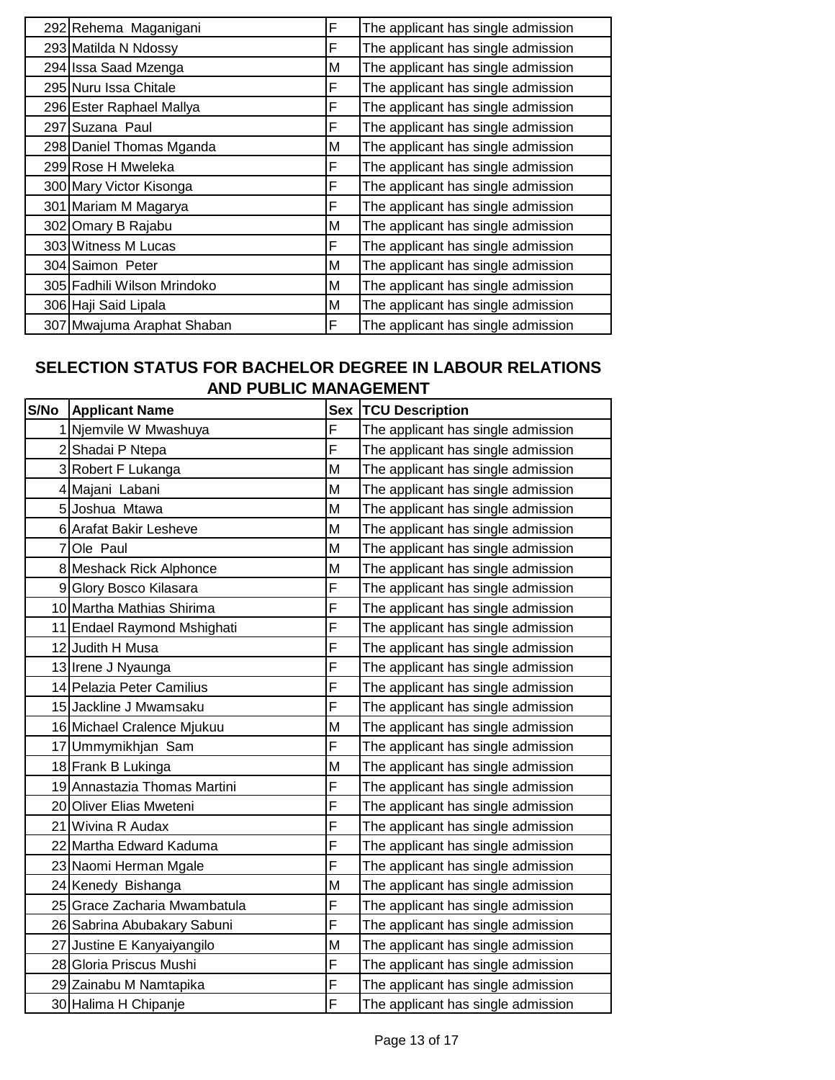| 292 Rehema Maganigani       | F | The applicant has single admission |
|-----------------------------|---|------------------------------------|
| 293 Matilda N Ndossy        | F | The applicant has single admission |
| 294 Issa Saad Mzenga        | M | The applicant has single admission |
| 295 Nuru Issa Chitale       | F | The applicant has single admission |
| 296 Ester Raphael Mallya    | F | The applicant has single admission |
| 297 Suzana Paul             | F | The applicant has single admission |
| 298 Daniel Thomas Mganda    | M | The applicant has single admission |
| 299 Rose H Mweleka          | F | The applicant has single admission |
| 300 Mary Victor Kisonga     | F | The applicant has single admission |
| 301 Mariam M Magarya        | F | The applicant has single admission |
| 302 Omary B Rajabu          | M | The applicant has single admission |
| 303 Witness M Lucas         | F | The applicant has single admission |
| 304 Saimon Peter            | М | The applicant has single admission |
| 305 Fadhili Wilson Mrindoko | M | The applicant has single admission |
| 306 Haji Said Lipala        | M | The applicant has single admission |
| 307 Mwajuma Araphat Shaban  | F | The applicant has single admission |

### **SELECTION STATUS FOR BACHELOR DEGREE IN LABOUR RELATIONS AND PUBLIC MANAGEMENT**

| S/No | <b>Applicant Name</b>        | <b>Sex</b> | <b>TCU Description</b>             |
|------|------------------------------|------------|------------------------------------|
|      | 1 Njemvile W Mwashuya        | F          | The applicant has single admission |
|      | 2 Shadai P Ntepa             | F          | The applicant has single admission |
|      | 3 Robert F Lukanga           | M          | The applicant has single admission |
|      | 4 Majani Labani              | M          | The applicant has single admission |
|      | 5 Joshua Mtawa               | M          | The applicant has single admission |
|      | 6 Arafat Bakir Lesheve       | M          | The applicant has single admission |
|      | 7 Ole Paul                   | M          | The applicant has single admission |
|      | 8 Meshack Rick Alphonce      | M          | The applicant has single admission |
|      | 9 Glory Bosco Kilasara       | F          | The applicant has single admission |
|      | 10 Martha Mathias Shirima    | F          | The applicant has single admission |
|      | 11 Endael Raymond Mshighati  | F          | The applicant has single admission |
|      | 12 Judith H Musa             | F          | The applicant has single admission |
|      | 13 Irene J Nyaunga           | F          | The applicant has single admission |
|      | 14 Pelazia Peter Camilius    | F          | The applicant has single admission |
|      | 15 Jackline J Mwamsaku       | F          | The applicant has single admission |
|      | 16 Michael Cralence Mjukuu   | М          | The applicant has single admission |
|      | 17 Ummymikhjan Sam           | F          | The applicant has single admission |
|      | 18 Frank B Lukinga           | M          | The applicant has single admission |
|      | 19 Annastazia Thomas Martini | F          | The applicant has single admission |
|      | 20 Oliver Elias Mweteni      | F          | The applicant has single admission |
|      | 21 Wivina R Audax            | F          | The applicant has single admission |
|      | 22 Martha Edward Kaduma      | F          | The applicant has single admission |
|      | 23 Naomi Herman Mgale        | F          | The applicant has single admission |
|      | 24 Kenedy Bishanga           | M          | The applicant has single admission |
|      | 25 Grace Zacharia Mwambatula | F          | The applicant has single admission |
|      | 26 Sabrina Abubakary Sabuni  | F          | The applicant has single admission |
|      | 27 Justine E Kanyaiyangilo   | M          | The applicant has single admission |
|      | 28 Gloria Priscus Mushi      | F          | The applicant has single admission |
|      | 29 Zainabu M Namtapika       | F          | The applicant has single admission |
|      | 30 Halima H Chipanje         | F          | The applicant has single admission |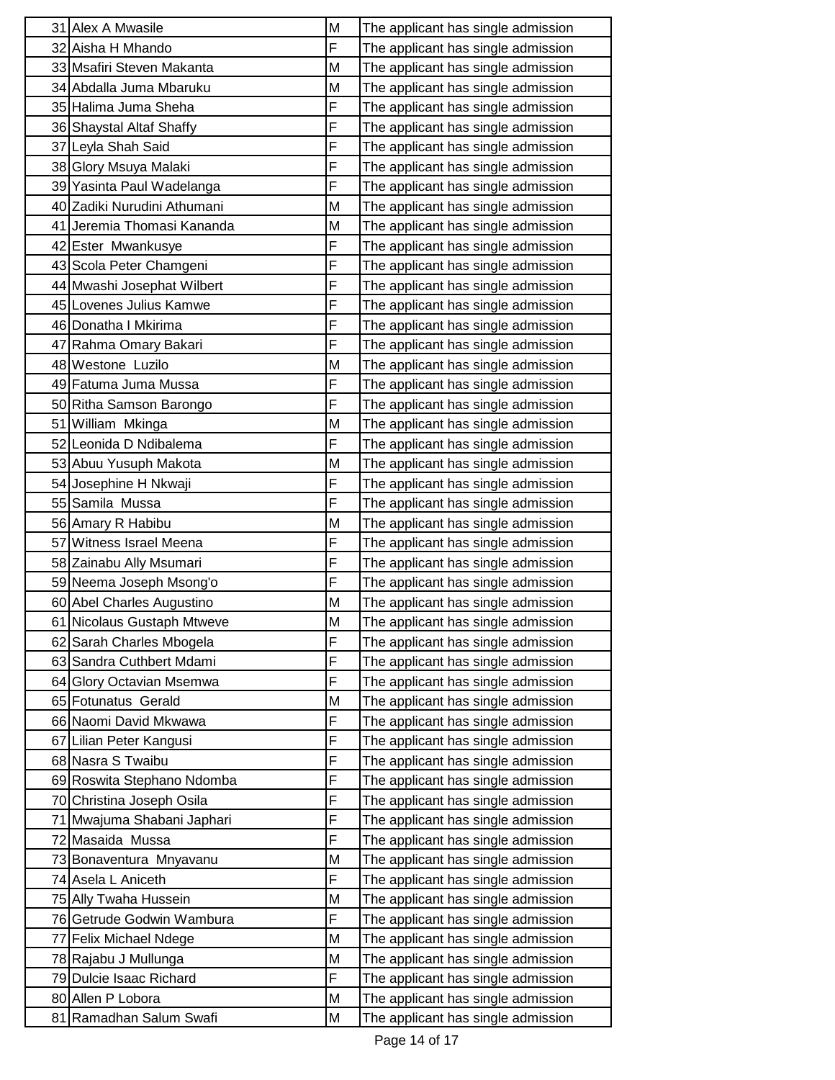| 31 Alex A Mwasile           | M | The applicant has single admission |
|-----------------------------|---|------------------------------------|
| 32 Aisha H Mhando           | F | The applicant has single admission |
| 33 Msafiri Steven Makanta   | M | The applicant has single admission |
| 34 Abdalla Juma Mbaruku     | M | The applicant has single admission |
| 35 Halima Juma Sheha        | F | The applicant has single admission |
| 36 Shaystal Altaf Shaffy    | F | The applicant has single admission |
| 37 Leyla Shah Said          | F | The applicant has single admission |
| 38 Glory Msuya Malaki       | F | The applicant has single admission |
| 39 Yasinta Paul Wadelanga   | F | The applicant has single admission |
| 40 Zadiki Nurudini Athumani | M | The applicant has single admission |
| 41 Jeremia Thomasi Kananda  | M | The applicant has single admission |
| 42 Ester Mwankusye          | F | The applicant has single admission |
| 43 Scola Peter Chamgeni     | F | The applicant has single admission |
| 44 Mwashi Josephat Wilbert  | F | The applicant has single admission |
| 45 Lovenes Julius Kamwe     | F | The applicant has single admission |
| 46 Donatha I Mkirima        | F | The applicant has single admission |
| 47 Rahma Omary Bakari       | F | The applicant has single admission |
| 48 Westone Luzilo           | M | The applicant has single admission |
| 49 Fatuma Juma Mussa        | F | The applicant has single admission |
| 50 Ritha Samson Barongo     | F | The applicant has single admission |
| 51 William Mkinga           | М | The applicant has single admission |
| 52 Leonida D Ndibalema      | F | The applicant has single admission |
| 53 Abuu Yusuph Makota       | M | The applicant has single admission |
| 54 Josephine H Nkwaji       | F | The applicant has single admission |
| 55 Samila Mussa             | F | The applicant has single admission |
| 56 Amary R Habibu           | M | The applicant has single admission |
| 57 Witness Israel Meena     | F | The applicant has single admission |
| 58 Zainabu Ally Msumari     | F | The applicant has single admission |
| 59 Neema Joseph Msong'o     | F | The applicant has single admission |
| 60 Abel Charles Augustino   | M | The applicant has single admission |
| 61 Nicolaus Gustaph Mtweve  | M | The applicant has single admission |
| 62 Sarah Charles Mbogela    | F | The applicant has single admission |
| 63 Sandra Cuthbert Mdami    | F | The applicant has single admission |
| 64 Glory Octavian Msemwa    | F | The applicant has single admission |
| 65 Fotunatus Gerald         | M | The applicant has single admission |
| 66 Naomi David Mkwawa       | F | The applicant has single admission |
| 67 Lilian Peter Kangusi     | F | The applicant has single admission |
| 68 Nasra S Twaibu           | F | The applicant has single admission |
| 69 Roswita Stephano Ndomba  | F | The applicant has single admission |
| 70 Christina Joseph Osila   | F | The applicant has single admission |
| 71 Mwajuma Shabani Japhari  | F | The applicant has single admission |
| 72 Masaida Mussa            | F | The applicant has single admission |
| 73 Bonaventura Mnyavanu     | M | The applicant has single admission |
| 74 Asela L Aniceth          | F | The applicant has single admission |
| 75 Ally Twaha Hussein       | M | The applicant has single admission |
| 76 Getrude Godwin Wambura   | F | The applicant has single admission |
| 77 Felix Michael Ndege      | M | The applicant has single admission |
| 78 Rajabu J Mullunga        | M | The applicant has single admission |
| 79 Dulcie Isaac Richard     | F | The applicant has single admission |
| 80 Allen P Lobora           | M | The applicant has single admission |
| 81 Ramadhan Salum Swafi     | M | The applicant has single admission |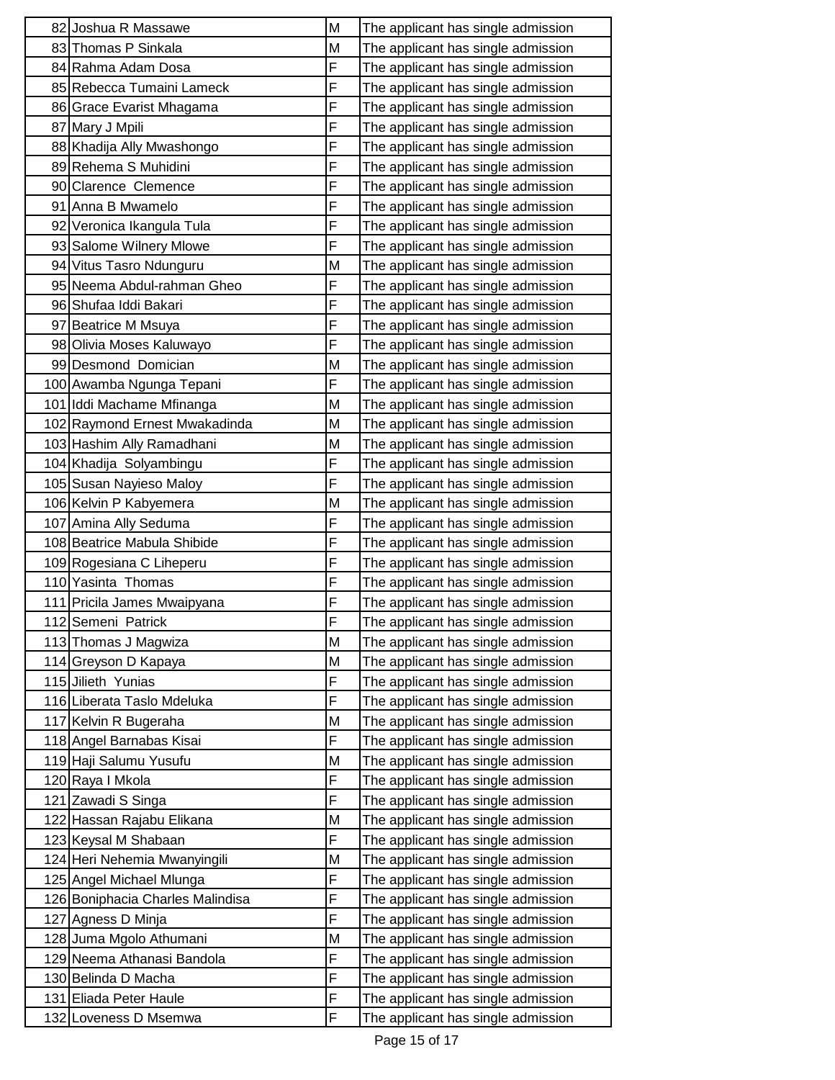| 82 Joshua R Massawe              | M | The applicant has single admission |
|----------------------------------|---|------------------------------------|
| 83 Thomas P Sinkala              | M | The applicant has single admission |
| 84 Rahma Adam Dosa               | F | The applicant has single admission |
| 85 Rebecca Tumaini Lameck        | F | The applicant has single admission |
| 86 Grace Evarist Mhagama         | F | The applicant has single admission |
| 87 Mary J Mpili                  | F | The applicant has single admission |
| 88 Khadija Ally Mwashongo        | F | The applicant has single admission |
| 89 Rehema S Muhidini             | F | The applicant has single admission |
| 90 Clarence Clemence             | F | The applicant has single admission |
| 91 Anna B Mwamelo                | F | The applicant has single admission |
| 92 Veronica Ikangula Tula        | F | The applicant has single admission |
| 93 Salome Wilnery Mlowe          | F | The applicant has single admission |
| 94 Vitus Tasro Ndunguru          | M | The applicant has single admission |
| 95 Neema Abdul-rahman Gheo       | F | The applicant has single admission |
| 96 Shufaa Iddi Bakari            | F | The applicant has single admission |
| 97 Beatrice M Msuya              | F | The applicant has single admission |
| 98 Olivia Moses Kaluwayo         | F | The applicant has single admission |
| 99 Desmond Domician              | M | The applicant has single admission |
| 100 Awamba Ngunga Tepani         | F | The applicant has single admission |
| 101 Iddi Machame Mfinanga        | M | The applicant has single admission |
| 102 Raymond Ernest Mwakadinda    | M | The applicant has single admission |
| 103 Hashim Ally Ramadhani        | M | The applicant has single admission |
| 104 Khadija Solyambingu          | F | The applicant has single admission |
| 105 Susan Nayieso Maloy          | F | The applicant has single admission |
| 106 Kelvin P Kabyemera           | M | The applicant has single admission |
| 107 Amina Ally Seduma            | F | The applicant has single admission |
| 108 Beatrice Mabula Shibide      | F | The applicant has single admission |
| 109 Rogesiana C Liheperu         | F | The applicant has single admission |
| 110 Yasinta Thomas               | F | The applicant has single admission |
| 111 Pricila James Mwaipyana      | F | The applicant has single admission |
| 112 Semeni Patrick               | F | The applicant has single admission |
| 113 Thomas J Magwiza             | M | The applicant has single admission |
| 114 Greyson D Kapaya             | M | The applicant has single admission |
| 115 Jilieth Yunias               | F | The applicant has single admission |
| 116 Liberata Taslo Mdeluka       | F | The applicant has single admission |
| 117 Kelvin R Bugeraha            | M | The applicant has single admission |
| 118 Angel Barnabas Kisai         | F | The applicant has single admission |
| 119 Haji Salumu Yusufu           | Μ | The applicant has single admission |
| 120 Raya I Mkola                 | F | The applicant has single admission |
| 121 Zawadi S Singa               | F | The applicant has single admission |
| 122 Hassan Rajabu Elikana        | M | The applicant has single admission |
| 123 Keysal M Shabaan             | F | The applicant has single admission |
| 124 Heri Nehemia Mwanyingili     | M | The applicant has single admission |
| 125 Angel Michael Mlunga         | F | The applicant has single admission |
| 126 Boniphacia Charles Malindisa | F | The applicant has single admission |
| 127 Agness D Minja               | F | The applicant has single admission |
| 128 Juma Mgolo Athumani          | M | The applicant has single admission |
| 129 Neema Athanasi Bandola       | F | The applicant has single admission |
| 130 Belinda D Macha              | F | The applicant has single admission |
| 131 Eliada Peter Haule           | F | The applicant has single admission |
| 132 Loveness D Msemwa            | F | The applicant has single admission |
|                                  |   |                                    |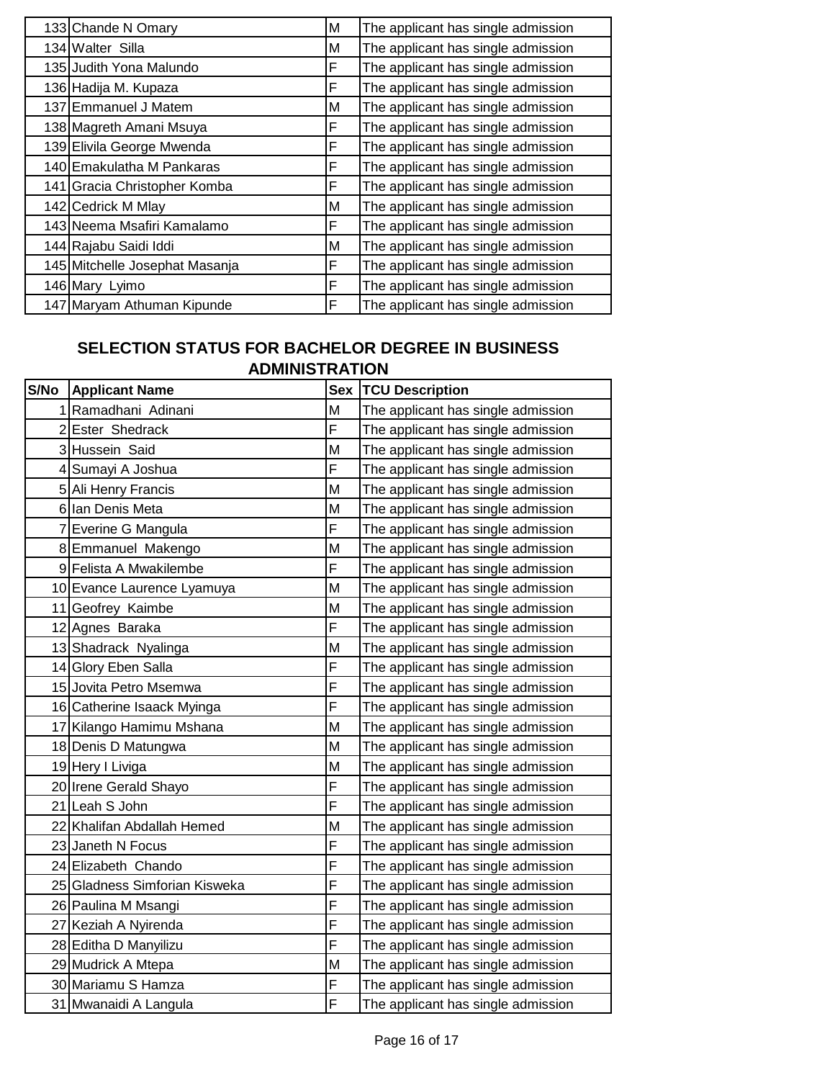| 133 Chande N Omary             | м | The applicant has single admission |
|--------------------------------|---|------------------------------------|
| 134 Walter Silla               | м | The applicant has single admission |
| 135 Judith Yona Malundo        | F | The applicant has single admission |
| 136 Hadija M. Kupaza           | F | The applicant has single admission |
| 137 Emmanuel J Matem           | м | The applicant has single admission |
| 138 Magreth Amani Msuya        | F | The applicant has single admission |
| 139 Elivila George Mwenda      | F | The applicant has single admission |
| 140 Emakulatha M Pankaras      | F | The applicant has single admission |
| 141 Gracia Christopher Komba   | F | The applicant has single admission |
| 142 Cedrick M Mlay             | м | The applicant has single admission |
| 143 Neema Msafiri Kamalamo     | F | The applicant has single admission |
| 144 Rajabu Saidi Iddi          | М | The applicant has single admission |
| 145 Mitchelle Josephat Masanja | F | The applicant has single admission |
| 146 Mary Lyimo                 | F | The applicant has single admission |
| 147 Maryam Athuman Kipunde     | F | The applicant has single admission |

#### **SELECTION STATUS FOR BACHELOR DEGREE IN BUSINESS ADMINISTRATION**

| S/No | <b>Applicant Name</b>         | <b>Sex</b> | <b>TCU Description</b>             |
|------|-------------------------------|------------|------------------------------------|
|      | Ramadhani Adinani             | M          | The applicant has single admission |
|      | 2 Ester Shedrack              | F          | The applicant has single admission |
|      | 3 Hussein Said                | M          | The applicant has single admission |
|      | 4 Sumayi A Joshua             | F          | The applicant has single admission |
|      | 5 Ali Henry Francis           | M          | The applicant has single admission |
|      | 6 Ian Denis Meta              | M          | The applicant has single admission |
| 7    | Everine G Mangula             | F          | The applicant has single admission |
|      | 8 Emmanuel Makengo            | M          | The applicant has single admission |
|      | 9 Felista A Mwakilembe        | F          | The applicant has single admission |
|      | 10 Evance Laurence Lyamuya    | M          | The applicant has single admission |
|      | 11 Geofrey Kaimbe             | M          | The applicant has single admission |
|      | 12 Agnes Baraka               | F          | The applicant has single admission |
|      | 13 Shadrack Nyalinga          | M          | The applicant has single admission |
|      | 14 Glory Eben Salla           | F          | The applicant has single admission |
|      | 15 Jovita Petro Msemwa        | F          | The applicant has single admission |
|      | 16 Catherine Isaack Myinga    | F          | The applicant has single admission |
|      | 17 Kilango Hamimu Mshana      | M          | The applicant has single admission |
|      | 18 Denis D Matungwa           | M          | The applicant has single admission |
|      | 19 Hery I Liviga              | M          | The applicant has single admission |
|      | 20 Irene Gerald Shayo         | F          | The applicant has single admission |
|      | 21 Leah S John                | F          | The applicant has single admission |
|      | 22 Khalifan Abdallah Hemed    | M          | The applicant has single admission |
|      | 23 Janeth N Focus             | F          | The applicant has single admission |
|      | 24 Elizabeth Chando           | F          | The applicant has single admission |
|      | 25 Gladness Simforian Kisweka | F          | The applicant has single admission |
|      | 26 Paulina M Msangi           | F          | The applicant has single admission |
|      | 27 Keziah A Nyirenda          | F          | The applicant has single admission |
|      | 28 Editha D Manyilizu         | F          | The applicant has single admission |
|      | 29 Mudrick A Mtepa            | M          | The applicant has single admission |
|      | 30 Mariamu S Hamza            | F          | The applicant has single admission |
|      | 31 Mwanaidi A Langula         | F          | The applicant has single admission |